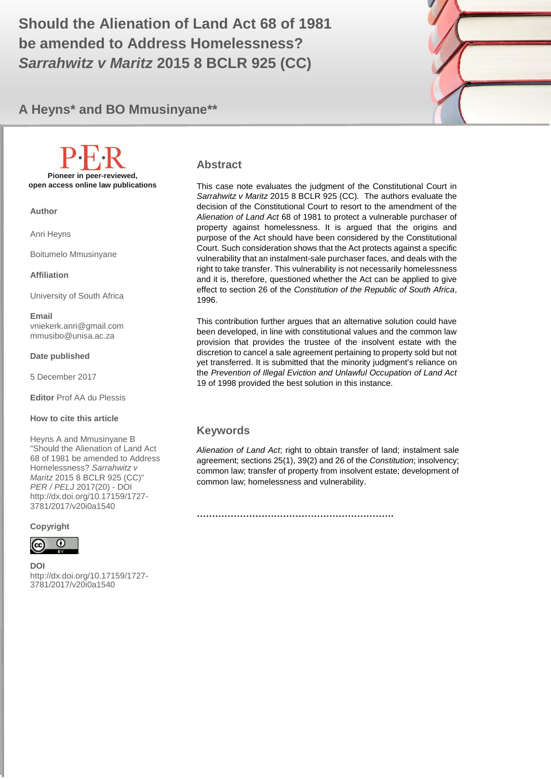**be amended to Address Homelessness? All 2017 (20)** 2017 (20) 1 **Should the Alienation of Land Act 68 of 1981**  *Sarrahwitz v Maritz* **2015 8 BCLR 925 (CC)**



# **A Heyns\* and BO Mmusinyane\*\***

**Pioneer in peer-reviewed, open access online law publications**

**Author**

Anri Heyns

Boitumelo Mmusinyane

**Affiliation**

University of South Africa

**Email** vniekerk.anri@gmail.com mmusibo@unisa.ac.za

**Date published**

5 December 2017

**Editor** Prof AA du Plessis

#### **How to cite this article**

Heyns A and Mmusinyane B "Should the Alienation of Land Act 68 of 1981 be amended to Address Homelessness? *Sarrahwitz v Maritz* 2015 8 BCLR 925 (CC)" *PER / PELJ* 2017(20) - DOI http://dx.doi.org/10.17159/1727- 3781/2017/v20i0a1540

#### **Copyright**



**DOI**  http://dx.doi.org/10.17159/1727- 3781/2017/v20i0a1540

.

### **Abstract**

This case note evaluates the judgment of the Constitutional Court in *Sarrahwitz v Maritz* 2015 8 BCLR 925 (CC). The authors evaluate the decision of the Constitutional Court to resort to the amendment of the *Alienation of Land Act* 68 of 1981 to protect a vulnerable purchaser of property against homelessness. It is argued that the origins and purpose of the Act should have been considered by the Constitutional Court. Such consideration shows that the Act protects against a specific vulnerability that an instalment-sale purchaser faces, and deals with the right to take transfer. This vulnerability is not necessarily homelessness and it is, therefore, questioned whether the Act can be applied to give effect to section 26 of the *Constitution of the Republic of South Africa*, 1996.

This contribution further argues that an alternative solution could have been developed, in line with constitutional values and the common law provision that provides the trustee of the insolvent estate with the discretion to cancel a sale agreement pertaining to property sold but not yet transferred. It is submitted that the minority judgment's reliance on the *Prevention of Illegal Eviction and Unlawful Occupation of Land Act* 19 of 1998 provided the best solution in this instance.

### **Keywords**

*Alienation of Land Act*; right to obtain transfer of land; instalment sale agreement; sections 25(1), 39(2) and 26 of the *Constitution*; insolvency; common law; transfer of property from insolvent estate; development of common law; homelessness and vulnerability.

**……………………………………………………….**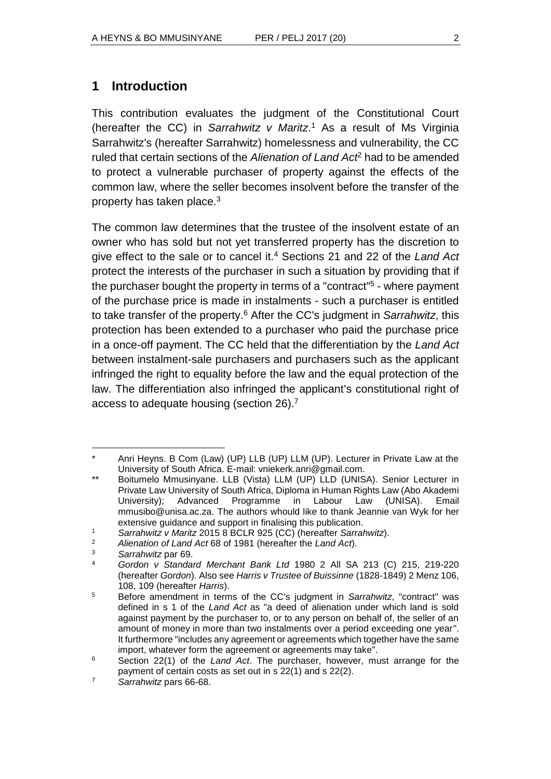# **1 Introduction**

This contribution evaluates the judgment of the Constitutional Court (hereafter the CC) in *Sarrahwitz v Maritz*. <sup>1</sup> As a result of Ms Virginia Sarrahwitz's (hereafter Sarrahwitz) homelessness and vulnerability, the CC ruled that certain sections of the *Alienation of Land Act*<sup>2</sup> had to be amended to protect a vulnerable purchaser of property against the effects of the common law, where the seller becomes insolvent before the transfer of the property has taken place.<sup>3</sup>

The common law determines that the trustee of the insolvent estate of an owner who has sold but not yet transferred property has the discretion to give effect to the sale or to cancel it.<sup>4</sup> Sections 21 and 22 of the *Land Act* protect the interests of the purchaser in such a situation by providing that if the purchaser bought the property in terms of a "contract"<sup>5</sup> - where payment of the purchase price is made in instalments - such a purchaser is entitled to take transfer of the property.<sup>6</sup> After the CC's judgment in *Sarrahwitz*, this protection has been extended to a purchaser who paid the purchase price in a once-off payment. The CC held that the differentiation by the *Land Act* between instalment-sale purchasers and purchasers such as the applicant infringed the right to equality before the law and the equal protection of the law. The differentiation also infringed the applicant's constitutional right of access to adequate housing (section 26).<sup>7</sup>

l Anri Heyns. B Com (Law) (UP) LLB (UP) LLM (UP). Lecturer in Private Law at the University of South Africa. E-mail: vniekerk.anri@gmail.com.

<sup>\*\*</sup> Boitumelo Mmusinyane. LLB (Vista) LLM (UP) LLD (UNISA). Senior Lecturer in Private Law University of South Africa, Diploma in Human Rights Law (Abo Akademi University); Advanced Programme in Labour Law (UNISA). Email mmusibo@unisa.ac.za. The authors whould like to thank Jeannie van Wyk for her extensive guidance and support in finalising this publication.

<sup>1</sup> *Sarrahwitz v Maritz* 2015 8 BCLR 925 (CC) (hereafter *Sarrahwitz*).

<sup>2</sup> *Alienation of Land Act* 68 of 1981 (hereafter the *Land Act*).

<sup>3</sup> *Sarrahwitz* par 69.

<sup>4</sup> *Gordon v Standard Merchant Bank Ltd* 1980 2 All SA 213 (C) 215, 219-220 (hereafter *Gordon*). Also see *Harris v Trustee of Buissinne* (1828-1849) 2 Menz 106, 108, 109 (hereafter *Harris*).

<sup>5</sup> Before amendment in terms of the CC's judgment in *Sarrahwitz*, "contract" was defined in s 1 of the *Land Act* as "a deed of alienation under which land is sold against payment by the purchaser to, or to any person on behalf of, the seller of an amount of money in more than two instalments over a period exceeding one year". It furthermore "includes any agreement or agreements which together have the same import, whatever form the agreement or agreements may take".

<sup>6</sup> Section 22(1) of the *Land Act*. The purchaser, however, must arrange for the payment of certain costs as set out in s 22(1) and s 22(2).

<sup>7</sup> *Sarrahwitz* pars 66-68.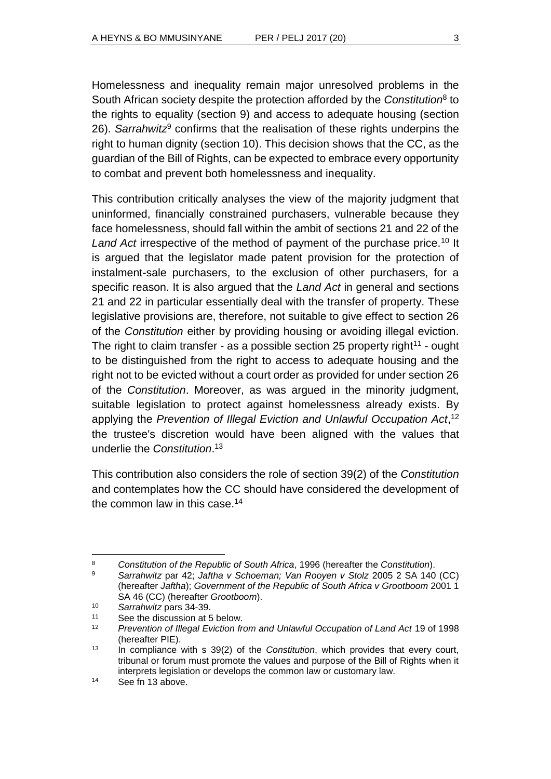Homelessness and inequality remain major unresolved problems in the South African society despite the protection afforded by the *Constitution*<sup>8</sup> to the rights to equality (section 9) and access to adequate housing (section 26). *Sarrahwitz*<sup>9</sup> confirms that the realisation of these rights underpins the right to human dignity (section 10). This decision shows that the CC, as the guardian of the Bill of Rights, can be expected to embrace every opportunity to combat and prevent both homelessness and inequality.

This contribution critically analyses the view of the majority judgment that uninformed, financially constrained purchasers, vulnerable because they face homelessness, should fall within the ambit of sections 21 and 22 of the Land Act irrespective of the method of payment of the purchase price.<sup>10</sup> It is argued that the legislator made patent provision for the protection of instalment-sale purchasers, to the exclusion of other purchasers, for a specific reason. It is also argued that the *Land Act* in general and sections 21 and 22 in particular essentially deal with the transfer of property. These legislative provisions are, therefore, not suitable to give effect to section 26 of the *Constitution* either by providing housing or avoiding illegal eviction. The right to claim transfer - as a possible section 25 property right<sup>11</sup> - ought to be distinguished from the right to access to adequate housing and the right not to be evicted without a court order as provided for under section 26 of the *Constitution*. Moreover, as was argued in the minority judgment, suitable legislation to protect against homelessness already exists. By applying the *Prevention of Illegal Eviction and Unlawful Occupation Act*, 12 the trustee's discretion would have been aligned with the values that underlie the *Constitution*. 13

This contribution also considers the role of section 39(2) of the *Constitution* and contemplates how the CC should have considered the development of the common law in this case.<sup>14</sup>

 $\overline{a}$ <sup>8</sup> *Constitution of the Republic of South Africa*, 1996 (hereafter the *Constitution*).

<sup>9</sup> *Sarrahwitz* par 42; *Jaftha v Schoeman; Van Rooyen v Stolz* 2005 2 SA 140 (CC) (hereafter *Jaftha*); *Government of the Republic of South Africa v Grootboom* 2001 1 SA 46 (CC) (hereafter *Grootboom*).

<sup>10</sup> *Sarrahwitz* pars 34-39.

<sup>11</sup> See the discussion at 5 below.

<sup>12</sup> *Prevention of Illegal Eviction from and Unlawful Occupation of Land Act* 19 of 1998 (hereafter PIE).

<sup>13</sup> In compliance with s 39(2) of the *Constitution*, which provides that every court, tribunal or forum must promote the values and purpose of the Bill of Rights when it interprets legislation or develops the common law or customary law.

<sup>14</sup> See fn 13 above.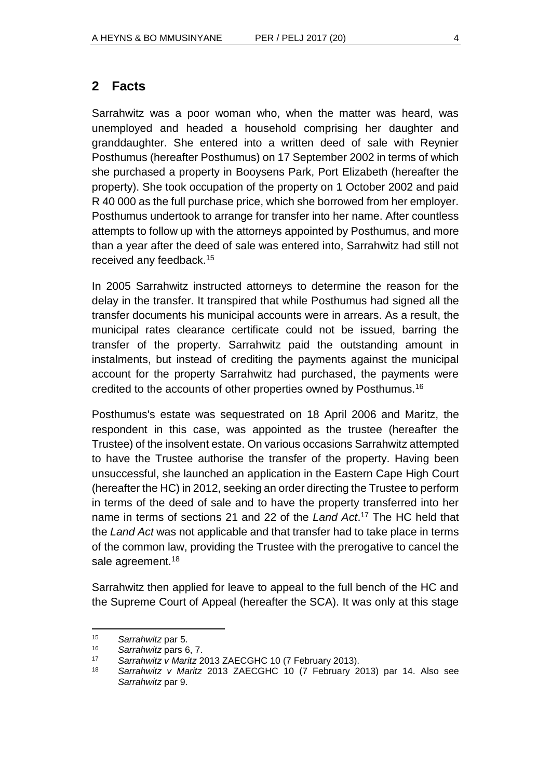Sarrahwitz was a poor woman who, when the matter was heard, was unemployed and headed a household comprising her daughter and granddaughter. She entered into a written deed of sale with Reynier Posthumus (hereafter Posthumus) on 17 September 2002 in terms of which she purchased a property in Booysens Park, Port Elizabeth (hereafter the property). She took occupation of the property on 1 October 2002 and paid R 40 000 as the full purchase price, which she borrowed from her employer. Posthumus undertook to arrange for transfer into her name. After countless attempts to follow up with the attorneys appointed by Posthumus, and more than a year after the deed of sale was entered into, Sarrahwitz had still not received any feedback. 15

In 2005 Sarrahwitz instructed attorneys to determine the reason for the delay in the transfer. It transpired that while Posthumus had signed all the transfer documents his municipal accounts were in arrears. As a result, the municipal rates clearance certificate could not be issued, barring the transfer of the property. Sarrahwitz paid the outstanding amount in instalments, but instead of crediting the payments against the municipal account for the property Sarrahwitz had purchased, the payments were credited to the accounts of other properties owned by Posthumus.<sup>16</sup>

Posthumus's estate was sequestrated on 18 April 2006 and Maritz, the respondent in this case, was appointed as the trustee (hereafter the Trustee) of the insolvent estate. On various occasions Sarrahwitz attempted to have the Trustee authorise the transfer of the property. Having been unsuccessful, she launched an application in the Eastern Cape High Court (hereafter the HC) in 2012, seeking an order directing the Trustee to perform in terms of the deed of sale and to have the property transferred into her name in terms of sections 21 and 22 of the *Land Act*. <sup>17</sup> The HC held that the *Land Act* was not applicable and that transfer had to take place in terms of the common law, providing the Trustee with the prerogative to cancel the sale agreement.<sup>18</sup>

Sarrahwitz then applied for leave to appeal to the full bench of the HC and the Supreme Court of Appeal (hereafter the SCA). It was only at this stage

<sup>15</sup> *Sarrahwitz* par 5.

<sup>16</sup> *Sarrahwitz* pars 6, 7.

<sup>17</sup> *Sarrahwitz v Maritz* 2013 ZAECGHC 10 (7 February 2013).

<sup>18</sup> *Sarrahwitz v Maritz* 2013 ZAECGHC 10 (7 February 2013) par 14. Also see *Sarrahwitz* par 9.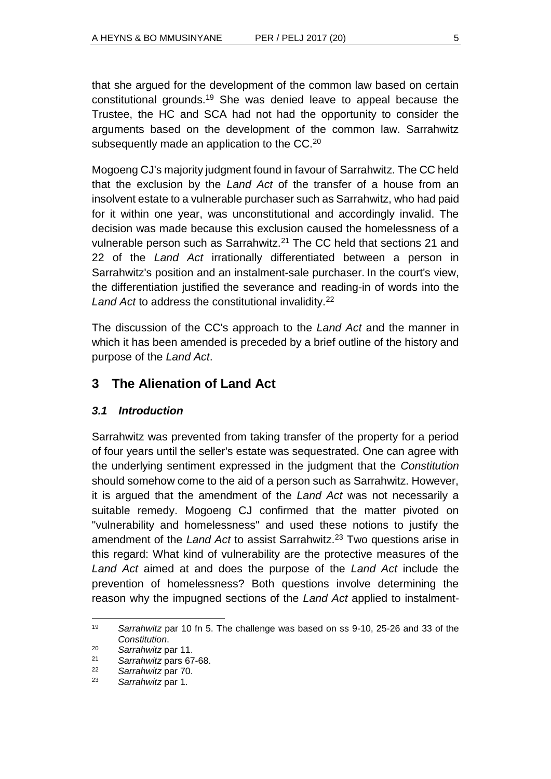that she argued for the development of the common law based on certain constitutional grounds.<sup>19</sup> She was denied leave to appeal because the Trustee, the HC and SCA had not had the opportunity to consider the arguments based on the development of the common law. Sarrahwitz subsequently made an application to the CC.<sup>20</sup>

Mogoeng CJ's majority judgment found in favour of Sarrahwitz. The CC held that the exclusion by the *Land Act* of the transfer of a house from an insolvent estate to a vulnerable purchaser such as Sarrahwitz, who had paid for it within one year, was unconstitutional and accordingly invalid. The decision was made because this exclusion caused the homelessness of a vulnerable person such as Sarrahwitz. $21$  The CC held that sections 21 and 22 of the *Land Act* irrationally differentiated between a person in Sarrahwitz's position and an instalment-sale purchaser. In the court's view, the differentiation justified the severance and reading-in of words into the Land Act to address the constitutional invalidity.<sup>22</sup>

The discussion of the CC's approach to the *Land Act* and the manner in which it has been amended is preceded by a brief outline of the history and purpose of the *Land Act*.

# **3 The Alienation of Land Act**

### *3.1 Introduction*

Sarrahwitz was prevented from taking transfer of the property for a period of four years until the seller's estate was sequestrated. One can agree with the underlying sentiment expressed in the judgment that the *Constitution* should somehow come to the aid of a person such as Sarrahwitz. However, it is argued that the amendment of the *Land Act* was not necessarily a suitable remedy. Mogoeng CJ confirmed that the matter pivoted on "vulnerability and homelessness" and used these notions to justify the amendment of the *Land Act* to assist Sarrahwitz.<sup>23</sup> Two questions arise in this regard: What kind of vulnerability are the protective measures of the *Land Act* aimed at and does the purpose of the *Land Act* include the prevention of homelessness? Both questions involve determining the reason why the impugned sections of the *Land Act* applied to instalment-

<sup>19</sup> *Sarrahwitz* par 10 fn 5. The challenge was based on ss 9-10, 25-26 and 33 of the *Constitution*.

<sup>20</sup> *Sarrahwitz* par 11.

<sup>21</sup> *Sarrahwitz* pars 67-68.

<sup>22</sup> *Sarrahwitz* par 70.

<sup>23</sup> *Sarrahwitz* par 1.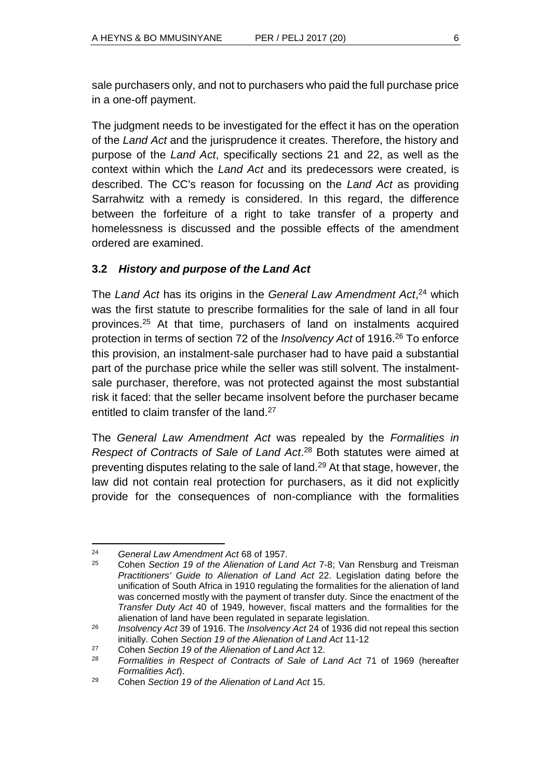sale purchasers only, and not to purchasers who paid the full purchase price in a one-off payment.

The judgment needs to be investigated for the effect it has on the operation of the *Land Act* and the jurisprudence it creates. Therefore, the history and purpose of the *Land Act*, specifically sections 21 and 22, as well as the context within which the *Land Act* and its predecessors were created, is described. The CC's reason for focussing on the *Land Act* as providing Sarrahwitz with a remedy is considered. In this regard, the difference between the forfeiture of a right to take transfer of a property and homelessness is discussed and the possible effects of the amendment ordered are examined.

# **3.2** *History and purpose of the Land Act*

The *Land Act* has its origins in the *General Law Amendment Act*, <sup>24</sup> which was the first statute to prescribe formalities for the sale of land in all four provinces.<sup>25</sup> At that time, purchasers of land on instalments acquired protection in terms of section 72 of the *Insolvency Act* of 1916.<sup>26</sup> To enforce this provision, an instalment-sale purchaser had to have paid a substantial part of the purchase price while the seller was still solvent. The instalmentsale purchaser, therefore, was not protected against the most substantial risk it faced: that the seller became insolvent before the purchaser became entitled to claim transfer of the land.<sup>27</sup>

The *General Law Amendment Act* was repealed by the *Formalities in Respect of Contracts of Sale of Land Act*. <sup>28</sup> Both statutes were aimed at preventing disputes relating to the sale of land.<sup>29</sup> At that stage, however, the law did not contain real protection for purchasers, as it did not explicitly provide for the consequences of non-compliance with the formalities

l <sup>24</sup> *General Law Amendment Act* 68 of 1957.

<sup>25</sup> Cohen *Section 19 of the Alienation of Land Act* 7-8; Van Rensburg and Treisman *Practitioners' Guide to Alienation of Land Act* 22. Legislation dating before the unification of South Africa in 1910 regulating the formalities for the alienation of land was concerned mostly with the payment of transfer duty. Since the enactment of the *Transfer Duty Act* 40 of 1949, however, fiscal matters and the formalities for the alienation of land have been regulated in separate legislation.

<sup>26</sup> *Insolvency Act* 39 of 1916. The *Insolvency Act* 24 of 1936 did not repeal this section initially. Cohen *Section 19 of the Alienation of Land Act* 11-12

<sup>27</sup> Cohen *Section 19 of the Alienation of Land Act* 12.

<sup>28</sup> *Formalities in Respect of Contracts of Sale of Land Act* 71 of 1969 (hereafter *Formalities Act*).

<sup>29</sup> Cohen *Section 19 of the Alienation of Land Act* 15.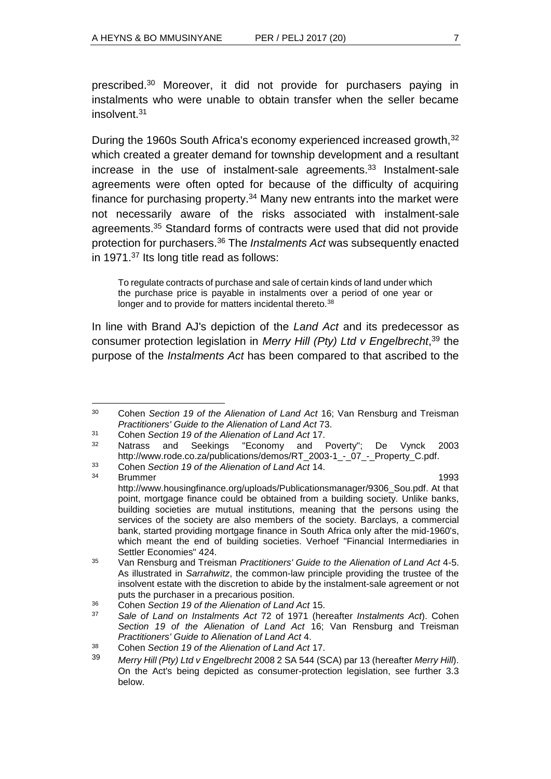prescribed.<sup>30</sup> Moreover, it did not provide for purchasers paying in instalments who were unable to obtain transfer when the seller became insolvent.<sup>31</sup>

During the 1960s South Africa's economy experienced increased growth, 32 which created a greater demand for township development and a resultant increase in the use of instalment-sale agreements.<sup>33</sup> Instalment-sale agreements were often opted for because of the difficulty of acquiring finance for purchasing property.<sup>34</sup> Many new entrants into the market were not necessarily aware of the risks associated with instalment-sale agreements.<sup>35</sup> Standard forms of contracts were used that did not provide protection for purchasers.<sup>36</sup> The *Instalments Act* was subsequently enacted in 1971.<sup>37</sup> Its long title read as follows:

To regulate contracts of purchase and sale of certain kinds of land under which the purchase price is payable in instalments over a period of one year or longer and to provide for matters incidental thereto.<sup>38</sup>

In line with Brand AJ's depiction of the *Land Act* and its predecessor as consumer protection legislation in *Merry Hill (Pty) Ltd v Engelbrecht*, <sup>39</sup> the purpose of the *Instalments Act* has been compared to that ascribed to the

<sup>31</sup> Cohen *Section 19 of the Alienation of Land Act* 17.

l <sup>30</sup> Cohen *Section 19 of the Alienation of Land Act* 16; Van Rensburg and Treisman *Practitioners' Guide to the Alienation of Land Act* 73.

Natrass and Seekings "Economy and Poverty"; De Vynck 2003 http://www.rode.co.za/publications/demos/RT\_2003-1\_-\_07\_-\_Property\_C.pdf.

<sup>33</sup> Cohen *Section 19 of the Alienation of Land Act* 14.

<sup>&</sup>lt;sup>34</sup> Brummer 1993 http://www.housingfinance.org/uploads/Publicationsmanager/9306\_Sou.pdf. At that point, mortgage finance could be obtained from a building society. Unlike banks, building societies are mutual institutions, meaning that the persons using the services of the society are also members of the society. Barclays, a commercial bank, started providing mortgage finance in South Africa only after the mid-1960's, which meant the end of building societies. Verhoef "Financial Intermediaries in Settler Economies" 424.

<sup>35</sup> Van Rensburg and Treisman *Practitioners' Guide to the Alienation of Land Act* 4-5. As illustrated in *Sarrahwitz*, the common-law principle providing the trustee of the insolvent estate with the discretion to abide by the instalment-sale agreement or not puts the purchaser in a precarious position.

<sup>36</sup> Cohen *Section 19 of the Alienation of Land Act* 15.

<sup>37</sup> *Sale of Land on Instalments Act* 72 of 1971 (hereafter *Instalments Act*). Cohen *Section 19 of the Alienation of Land Act* 16; Van Rensburg and Treisman *Practitioners' Guide to Alienation of Land Act* 4.

<sup>38</sup> Cohen *Section 19 of the Alienation of Land Act* 17.

<sup>39</sup> *Merry Hill (Pty) Ltd v Engelbrecht* 2008 2 SA 544 (SCA) par 13 (hereafter *Merry Hill*). On the Act's being depicted as consumer-protection legislation, see further 3.3 below.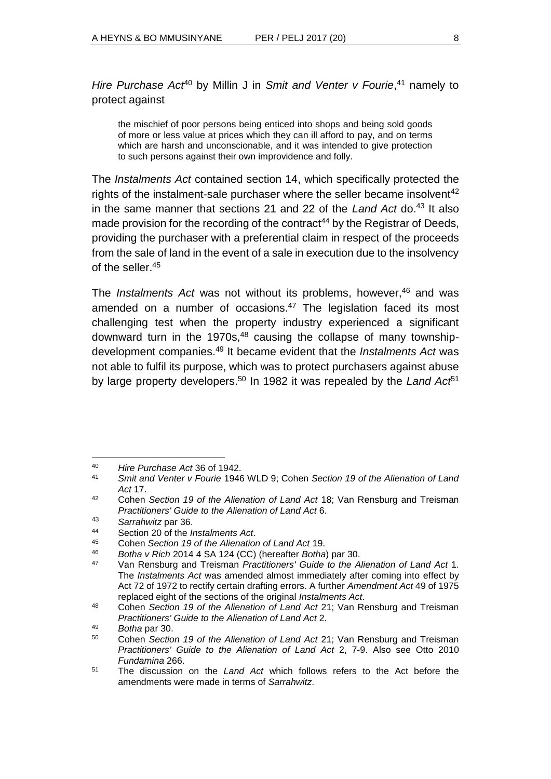Hire Purchase Act<sup>40</sup> by Millin J in Smit and Venter v Fourie,<sup>41</sup> namely to protect against

the mischief of poor persons being enticed into shops and being sold goods of more or less value at prices which they can ill afford to pay, and on terms which are harsh and unconscionable, and it was intended to give protection to such persons against their own improvidence and folly.

The *Instalments Act* contained section 14, which specifically protected the rights of the instalment-sale purchaser where the seller became insolvent<sup>42</sup> in the same manner that sections 21 and 22 of the *Land Act* do.<sup>43</sup> It also made provision for the recording of the contract<sup>44</sup> by the Registrar of Deeds, providing the purchaser with a preferential claim in respect of the proceeds from the sale of land in the event of a sale in execution due to the insolvency of the seller.<sup>45</sup>

The *Instalments Act* was not without its problems, however, <sup>46</sup> and was amended on a number of occasions.<sup>47</sup> The legislation faced its most challenging test when the property industry experienced a significant downward turn in the 1970s, $48$  causing the collapse of many townshipdevelopment companies.<sup>49</sup> It became evident that the *Instalments Act* was not able to fulfil its purpose, which was to protect purchasers against abuse by large property developers.<sup>50</sup> In 1982 it was repealed by the *Land Act*<sup>51</sup>

<sup>40</sup> *Hire Purchase Act* 36 of 1942.

<sup>41</sup> *Smit and Venter v Fourie* 1946 WLD 9; Cohen *Section 19 of the Alienation of Land Act* 17.

<sup>42</sup> Cohen *Section 19 of the Alienation of Land Act* 18; Van Rensburg and Treisman *Practitioners' Guide to the Alienation of Land Act* 6.

<sup>43</sup> *Sarrahwitz* par 36.

<sup>44</sup> Section 20 of the *Instalments Act*.

<sup>45</sup> Cohen *Section 19 of the Alienation of Land Act* 19.

<sup>46</sup> *Botha v Rich* 2014 4 SA 124 (CC) (hereafter *Botha*) par 30.

<sup>47</sup> Van Rensburg and Treisman *Practitioners' Guide to the Alienation of Land Act* 1. The *Instalments Act* was amended almost immediately after coming into effect by Act 72 of 1972 to rectify certain drafting errors. A further *Amendment Act* 49 of 1975 replaced eight of the sections of the original *Instalments Act*.

<sup>48</sup> Cohen *Section 19 of the Alienation of Land Act* 21; Van Rensburg and Treisman *Practitioners' Guide to the Alienation of Land Act* 2.

<sup>49</sup> *Botha* par 30.

<sup>50</sup> Cohen *Section 19 of the Alienation of Land Act* 21; Van Rensburg and Treisman *Practitioners' Guide to the Alienation of Land Act* 2, 7-9. Also see Otto 2010 *Fundamina* 266.

<sup>51</sup> The discussion on the *Land Act* which follows refers to the Act before the amendments were made in terms of *Sarrahwitz*.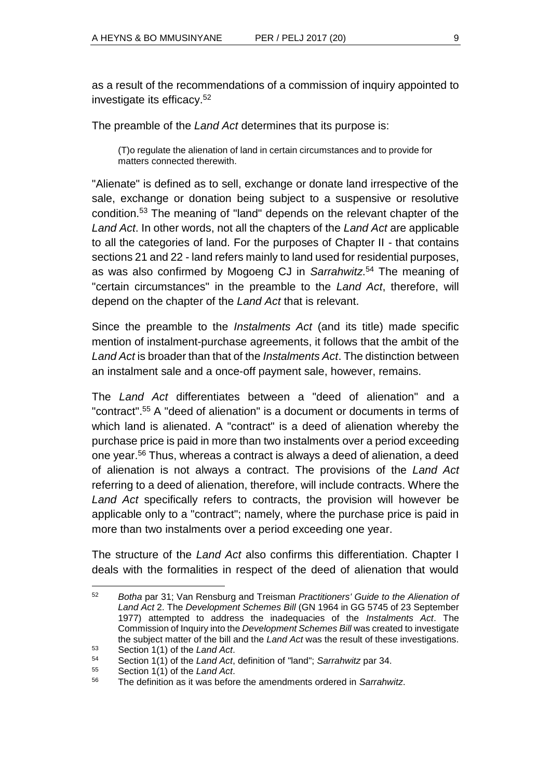as a result of the recommendations of a commission of inquiry appointed to investigate its efficacy.<sup>52</sup>

The preamble of the *Land Act* determines that its purpose is:

(T)o regulate the alienation of land in certain circumstances and to provide for matters connected therewith.

"Alienate" is defined as to sell, exchange or donate land irrespective of the sale, exchange or donation being subject to a suspensive or resolutive condition.<sup>53</sup> The meaning of "land" depends on the relevant chapter of the *Land Act*. In other words, not all the chapters of the *Land Act* are applicable to all the categories of land. For the purposes of Chapter II - that contains sections 21 and 22 - land refers mainly to land used for residential purposes, as was also confirmed by Mogoeng CJ in *Sarrahwitz*. <sup>54</sup> The meaning of "certain circumstances" in the preamble to the *Land Act*, therefore, will depend on the chapter of the *Land Act* that is relevant.

Since the preamble to the *Instalments Act* (and its title) made specific mention of instalment-purchase agreements, it follows that the ambit of the *Land Act* is broader than that of the *Instalments Act*. The distinction between an instalment sale and a once-off payment sale, however, remains.

The *Land Act* differentiates between a "deed of alienation" and a "contract". <sup>55</sup> A "deed of alienation" is a document or documents in terms of which land is alienated. A "contract" is a deed of alienation whereby the purchase price is paid in more than two instalments over a period exceeding one year.<sup>56</sup> Thus, whereas a contract is always a deed of alienation, a deed of alienation is not always a contract. The provisions of the *Land Act* referring to a deed of alienation, therefore, will include contracts. Where the *Land Act* specifically refers to contracts, the provision will however be applicable only to a "contract"; namely, where the purchase price is paid in more than two instalments over a period exceeding one year.

The structure of the *Land Act* also confirms this differentiation. Chapter I deals with the formalities in respect of the deed of alienation that would

<sup>52</sup> *Botha* par 31; Van Rensburg and Treisman *Practitioners' Guide to the Alienation of Land Act* 2. The *Development Schemes Bill* (GN 1964 in GG 5745 of 23 September 1977) attempted to address the inadequacies of the *Instalments Act*. The Commission of Inquiry into the *Development Schemes Bill* was created to investigate the subject matter of the bill and the *Land Act* was the result of these investigations.

<sup>53</sup> Section 1(1) of the *Land Act*.

<sup>54</sup> Section 1(1) of the *Land Act*, definition of "land"; *Sarrahwitz* par 34.

<sup>55</sup> Section 1(1) of the *Land Act*.

<sup>56</sup> The definition as it was before the amendments ordered in *Sarrahwitz*.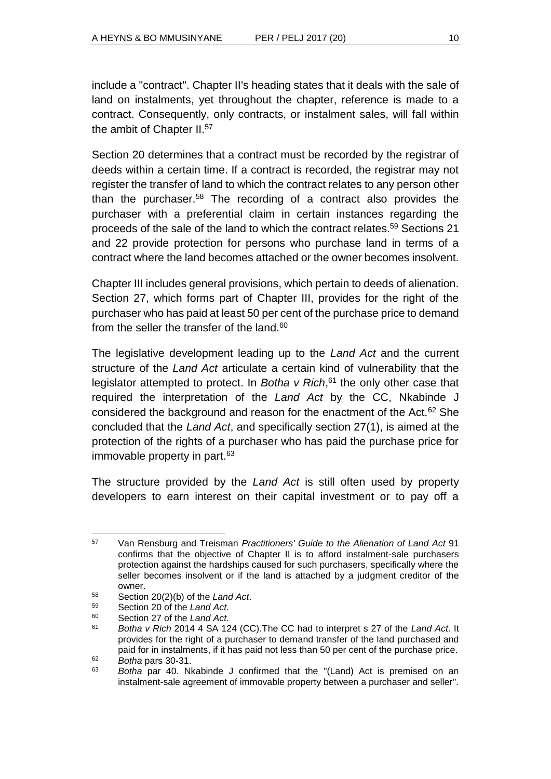include a "contract". Chapter II's heading states that it deals with the sale of land on instalments, yet throughout the chapter, reference is made to a contract. Consequently, only contracts, or instalment sales, will fall within the ambit of Chapter II.<sup>57</sup>

Section 20 determines that a contract must be recorded by the registrar of deeds within a certain time. If a contract is recorded, the registrar may not register the transfer of land to which the contract relates to any person other than the purchaser.<sup>58</sup> The recording of a contract also provides the purchaser with a preferential claim in certain instances regarding the proceeds of the sale of the land to which the contract relates. <sup>59</sup> Sections 21 and 22 provide protection for persons who purchase land in terms of a contract where the land becomes attached or the owner becomes insolvent.

Chapter III includes general provisions, which pertain to deeds of alienation. Section 27, which forms part of Chapter III, provides for the right of the purchaser who has paid at least 50 per cent of the purchase price to demand from the seller the transfer of the land. $60$ 

The legislative development leading up to the *Land Act* and the current structure of the *Land Act* articulate a certain kind of vulnerability that the legislator attempted to protect. In *Botha v Rich*, <sup>61</sup> the only other case that required the interpretation of the *Land Act* by the CC, Nkabinde J considered the background and reason for the enactment of the Act.<sup>62</sup> She concluded that the *Land Act*, and specifically section 27(1), is aimed at the protection of the rights of a purchaser who has paid the purchase price for immovable property in part. $63$ 

The structure provided by the *Land Act* is still often used by property developers to earn interest on their capital investment or to pay off a

l <sup>57</sup> Van Rensburg and Treisman *Practitioners' Guide to the Alienation of Land Act* 91 confirms that the objective of Chapter II is to afford instalment-sale purchasers protection against the hardships caused for such purchasers, specifically where the seller becomes insolvent or if the land is attached by a judgment creditor of the owner.

<sup>58</sup> Section 20(2)(b) of the *Land Act*.

Section 20 of the *Land Act*.

<sup>60</sup> Section 27 of the *Land Act*.

<sup>61</sup> *Botha v Rich* 2014 4 SA 124 (CC).The CC had to interpret s 27 of the *Land Act*. It provides for the right of a purchaser to demand transfer of the land purchased and paid for in instalments, if it has paid not less than 50 per cent of the purchase price. <sup>62</sup> *Botha* pars 30-31.

<sup>63</sup> *Botha* par 40. Nkabinde J confirmed that the "(Land) Act is premised on an instalment-sale agreement of immovable property between a purchaser and seller".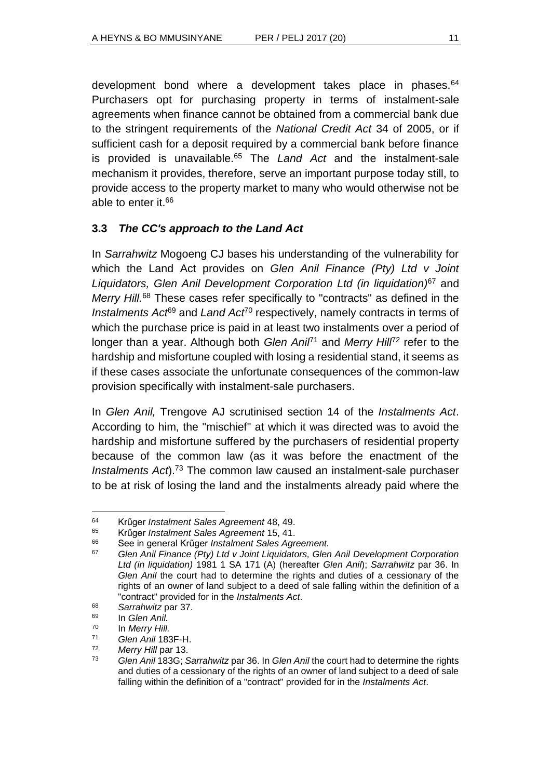development bond where a development takes place in phases.<sup>64</sup> Purchasers opt for purchasing property in terms of instalment-sale agreements when finance cannot be obtained from a commercial bank due to the stringent requirements of the *National Credit Act* 34 of 2005, or if sufficient cash for a deposit required by a commercial bank before finance is provided is unavailable.<sup>65</sup> The *Land Act* and the instalment-sale mechanism it provides, therefore, serve an important purpose today still, to provide access to the property market to many who would otherwise not be able to enter it. 66

# **3.3** *The CC's approach to the Land Act*

In *Sarrahwitz* Mogoeng CJ bases his understanding of the vulnerability for which the Land Act provides on *Glen Anil Finance (Pty) Ltd v Joint Liquidators, Glen Anil Development Corporation Ltd (in liquidation)*<sup>67</sup> and *Merry Hill.*<sup>68</sup> These cases refer specifically to "contracts" as defined in the *Instalments Act*<sup>69</sup> and *Land Act<sup>70</sup>* respectively, namely contracts in terms of which the purchase price is paid in at least two instalments over a period of longer than a year. Although both *Glen Anil<sup>71</sup>* and *Merry Hill<sup>72</sup>* refer to the hardship and misfortune coupled with losing a residential stand, it seems as if these cases associate the unfortunate consequences of the common-law provision specifically with instalment-sale purchasers.

In *Glen Anil,* Trengove AJ scrutinised section 14 of the *Instalments Act*. According to him, the "mischief" at which it was directed was to avoid the hardship and misfortune suffered by the purchasers of residential property because of the common law (as it was before the enactment of the *Instalments Act*).<sup>73</sup> The common law caused an instalment-sale purchaser to be at risk of losing the land and the instalments already paid where the

<sup>64</sup> Krűger *Instalment Sales Agreement* 48, 49.

<sup>65</sup> Krűger *Instalment Sales Agreement* 15, 41.

<sup>66</sup> See in general Krűger *Instalment Sales Agreement.*

<sup>67</sup> *Glen Anil Finance (Pty) Ltd v Joint Liquidators, Glen Anil Development Corporation Ltd (in liquidation)* 1981 1 SA 171 (A) (hereafter *Glen Anil*); *Sarrahwitz* par 36. In *Glen Anil* the court had to determine the rights and duties of a cessionary of the rights of an owner of land subject to a deed of sale falling within the definition of a "contract" provided for in the *Instalments Act*.

<sup>68</sup> *Sarrahwitz* par 37.

<sup>69</sup> In *Glen Anil.*

<sup>70</sup> In *Merry Hill.*

<sup>71</sup> *Glen Anil* 183F-H.

<sup>72</sup> *Merry Hill* par 13.

<sup>73</sup> *Glen Anil* 183G; *Sarrahwitz* par 36. In *Glen Anil* the court had to determine the rights and duties of a cessionary of the rights of an owner of land subject to a deed of sale falling within the definition of a "contract" provided for in the *Instalments Act*.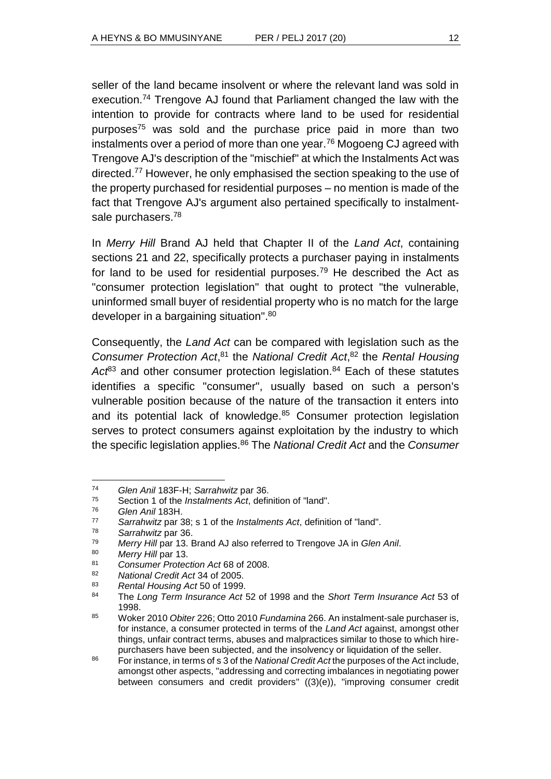seller of the land became insolvent or where the relevant land was sold in execution.<sup>74</sup> Trengove AJ found that Parliament changed the law with the intention to provide for contracts where land to be used for residential purposes<sup>75</sup> was sold and the purchase price paid in more than two instalments over a period of more than one year.<sup>76</sup> Mogoeng CJ agreed with Trengove AJ's description of the "mischief" at which the Instalments Act was directed.<sup>77</sup> However, he only emphasised the section speaking to the use of the property purchased for residential purposes – no mention is made of the fact that Trengove AJ's argument also pertained specifically to instalmentsale purchasers.<sup>78</sup>

In *Merry Hill* Brand AJ held that Chapter II of the *Land Act*, containing sections 21 and 22, specifically protects a purchaser paying in instalments for land to be used for residential purposes.<sup>79</sup> He described the Act as "consumer protection legislation" that ought to protect "the vulnerable, uninformed small buyer of residential property who is no match for the large developer in a bargaining situation".<sup>80</sup>

Consequently, the *Land Act* can be compared with legislation such as the Consumer Protection Act,<sup>81</sup> the National Credit Act,<sup>82</sup> the Rental Housing Act<sup>83</sup> and other consumer protection legislation.<sup>84</sup> Each of these statutes identifies a specific "consumer", usually based on such a person's vulnerable position because of the nature of the transaction it enters into and its potential lack of knowledge.<sup>85</sup> Consumer protection legislation serves to protect consumers against exploitation by the industry to which the specific legislation applies.<sup>86</sup> The *National Credit Act* and the *Consumer* 

<sup>74</sup> *Glen Anil* 183F-H; *Sarrahwitz* par 36.

<sup>75</sup> Section 1 of the *Instalments Act*, definition of "land".

<sup>76</sup> *Glen Anil* 183H.

<sup>77</sup> *Sarrahwitz* par 38; s 1 of the *Instalments Act*, definition of "land".

<sup>78</sup> *Sarrahwitz* par 36.

<sup>79</sup> *Merry Hill* par 13. Brand AJ also referred to Trengove JA in *Glen Anil*.

Merry Hill par 13.

<sup>81</sup> *Consumer Protection Act* 68 of 2008.

<sup>82</sup> *National Credit Act* 34 of 2005.

<sup>83</sup> *Rental Housing Act* 50 of 1999.

<sup>84</sup> The *Long Term Insurance Act* 52 of 1998 and the *Short Term Insurance Act* 53 of 1998.

<sup>85</sup> Woker 2010 *Obiter* 226; Otto 2010 *Fundamina* 266. An instalment-sale purchaser is, for instance, a consumer protected in terms of the *Land Act* against, amongst other things, unfair contract terms, abuses and malpractices similar to those to which hirepurchasers have been subjected, and the insolvency or liquidation of the seller.

<sup>86</sup> For instance, in terms of s 3 of the *National Credit Act* the purposes of the Act include, amongst other aspects, "addressing and correcting imbalances in negotiating power between consumers and credit providers" ((3)(e)), "improving consumer credit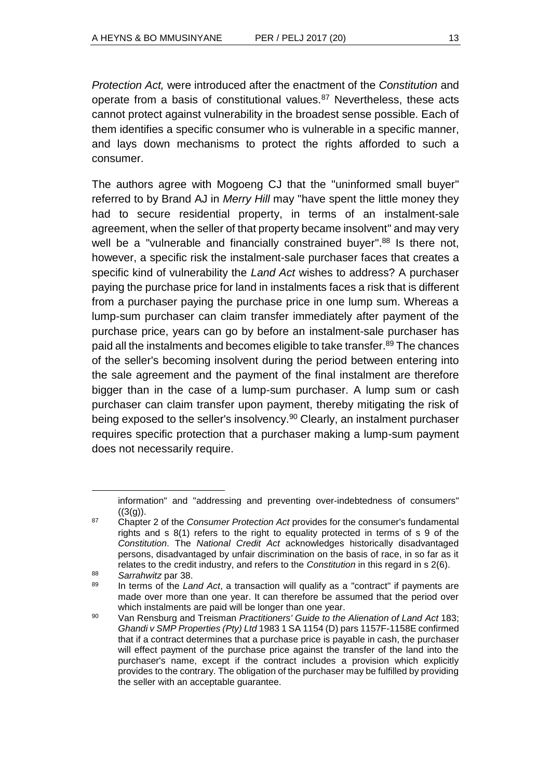*Protection Act,* were introduced after the enactment of the *Constitution* and operate from a basis of constitutional values.<sup>87</sup> Nevertheless, these acts cannot protect against vulnerability in the broadest sense possible. Each of them identifies a specific consumer who is vulnerable in a specific manner, and lays down mechanisms to protect the rights afforded to such a consumer.

The authors agree with Mogoeng CJ that the "uninformed small buyer" referred to by Brand AJ in *Merry Hill* may "have spent the little money they had to secure residential property, in terms of an instalment-sale agreement, when the seller of that property became insolvent" and may very well be a "vulnerable and financially constrained buyer".<sup>88</sup> Is there not, however, a specific risk the instalment-sale purchaser faces that creates a specific kind of vulnerability the *Land Act* wishes to address? A purchaser paying the purchase price for land in instalments faces a risk that is different from a purchaser paying the purchase price in one lump sum. Whereas a lump-sum purchaser can claim transfer immediately after payment of the purchase price, years can go by before an instalment-sale purchaser has paid all the instalments and becomes eligible to take transfer. <sup>89</sup> The chances of the seller's becoming insolvent during the period between entering into the sale agreement and the payment of the final instalment are therefore bigger than in the case of a lump-sum purchaser. A lump sum or cash purchaser can claim transfer upon payment, thereby mitigating the risk of being exposed to the seller's insolvency.<sup>90</sup> Clearly, an instalment purchaser requires specific protection that a purchaser making a lump-sum payment does not necessarily require.

information" and "addressing and preventing over-indebtedness of consumers"  $((3(a))$ .

<sup>87</sup> Chapter 2 of the *Consumer Protection Act* provides for the consumer's fundamental rights and s 8(1) refers to the right to equality protected in terms of s 9 of the *Constitution*. The *National Credit Act* acknowledges historically disadvantaged persons, disadvantaged by unfair discrimination on the basis of race, in so far as it relates to the credit industry, and refers to the *Constitution* in this regard in s 2(6).

<sup>88</sup> *Sarrahwitz* par 38.

<sup>89</sup> In terms of the *Land Act*, a transaction will qualify as a "contract" if payments are made over more than one year. It can therefore be assumed that the period over which instalments are paid will be longer than one year.

<sup>90</sup> Van Rensburg and Treisman *Practitioners' Guide to the Alienation of Land Act* 183; *Ghandi v SMP Properties (Pty) Ltd* 1983 1 SA 1154 (D) pars 1157F-1158E confirmed that if a contract determines that a purchase price is payable in cash, the purchaser will effect payment of the purchase price against the transfer of the land into the purchaser's name, except if the contract includes a provision which explicitly provides to the contrary. The obligation of the purchaser may be fulfilled by providing the seller with an acceptable guarantee.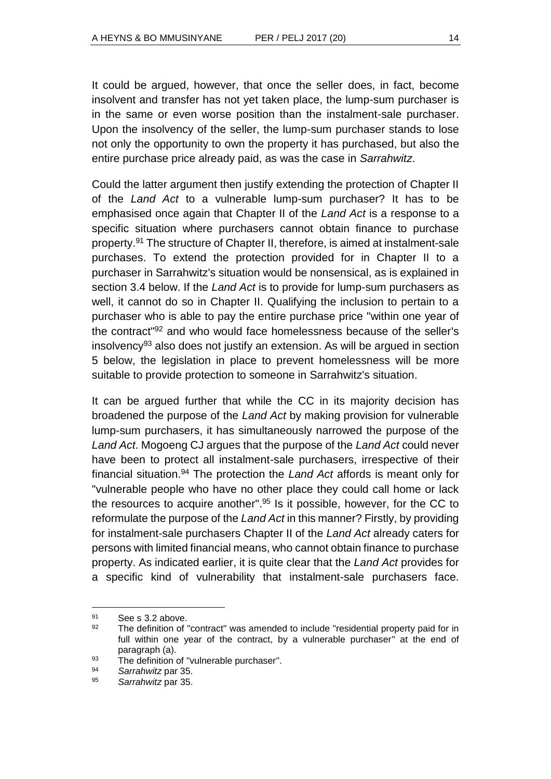It could be argued, however, that once the seller does, in fact, become insolvent and transfer has not yet taken place, the lump-sum purchaser is in the same or even worse position than the instalment-sale purchaser. Upon the insolvency of the seller, the lump-sum purchaser stands to lose not only the opportunity to own the property it has purchased, but also the entire purchase price already paid, as was the case in *Sarrahwitz*.

Could the latter argument then justify extending the protection of Chapter II of the *Land Act* to a vulnerable lump-sum purchaser? It has to be emphasised once again that Chapter II of the *Land Act* is a response to a specific situation where purchasers cannot obtain finance to purchase property. <sup>91</sup> The structure of Chapter II, therefore, is aimed at instalment-sale purchases. To extend the protection provided for in Chapter II to a purchaser in Sarrahwitz's situation would be nonsensical, as is explained in section 3.4 below. If the *Land Act* is to provide for lump-sum purchasers as well, it cannot do so in Chapter II. Qualifying the inclusion to pertain to a purchaser who is able to pay the entire purchase price "within one year of the contract" <sup>92</sup> and who would face homelessness because of the seller's insolvency<sup>93</sup> also does not justify an extension. As will be arqued in section 5 below, the legislation in place to prevent homelessness will be more suitable to provide protection to someone in Sarrahwitz's situation.

It can be argued further that while the CC in its majority decision has broadened the purpose of the *Land Act* by making provision for vulnerable lump-sum purchasers, it has simultaneously narrowed the purpose of the *Land Act*. Mogoeng CJ argues that the purpose of the *Land Act* could never have been to protect all instalment-sale purchasers, irrespective of their financial situation.<sup>94</sup> The protection the *Land Act* affords is meant only for "vulnerable people who have no other place they could call home or lack the resources to acquire another". <sup>95</sup> Is it possible, however, for the CC to reformulate the purpose of the *Land Act* in this manner? Firstly, by providing for instalment-sale purchasers Chapter II of the *Land Act* already caters for persons with limited financial means, who cannot obtain finance to purchase property. As indicated earlier, it is quite clear that the *Land Act* provides for a specific kind of vulnerability that instalment-sale purchasers face.

<sup>91</sup> See s 3.2 above.

 $92$  The definition of "contract" was amended to include "residential property paid for in full within one year of the contract, by a vulnerable purchaser" at the end of paragraph (a).

<sup>93</sup> The definition of "vulnerable purchaser".

<sup>94</sup> *Sarrahwitz* par 35.

<sup>95</sup> *Sarrahwitz* par 35.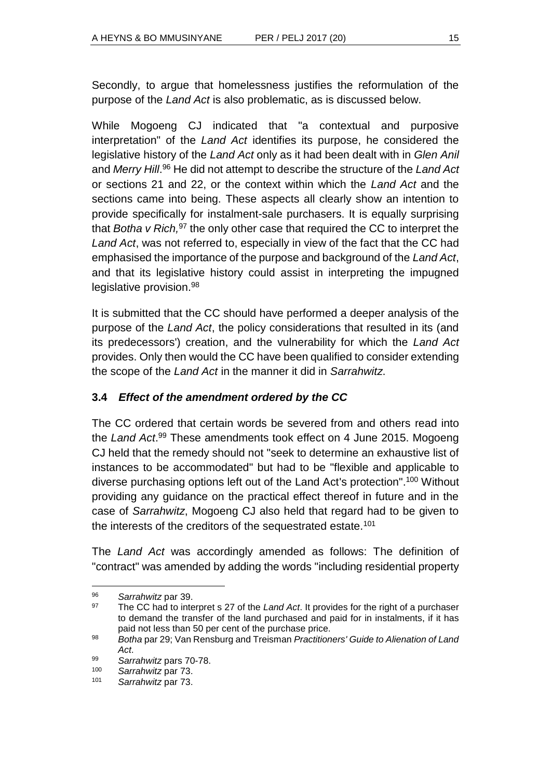Secondly, to argue that homelessness justifies the reformulation of the purpose of the *Land Act* is also problematic, as is discussed below.

While Mogoeng CJ indicated that "a contextual and purposive interpretation" of the *Land Act* identifies its purpose, he considered the legislative history of the *Land Act* only as it had been dealt with in *Glen Anil* and *Merry Hill*. <sup>96</sup> He did not attempt to describe the structure of the *Land Act* or sections 21 and 22, or the context within which the *Land Act* and the sections came into being. These aspects all clearly show an intention to provide specifically for instalment-sale purchasers. It is equally surprising that *Botha v Rich,*<sup>97</sup> the only other case that required the CC to interpret the *Land Act*, was not referred to, especially in view of the fact that the CC had emphasised the importance of the purpose and background of the *Land Act*, and that its legislative history could assist in interpreting the impugned legislative provision.<sup>98</sup>

It is submitted that the CC should have performed a deeper analysis of the purpose of the *Land Act*, the policy considerations that resulted in its (and its predecessors') creation, and the vulnerability for which the *Land Act* provides. Only then would the CC have been qualified to consider extending the scope of the *Land Act* in the manner it did in *Sarrahwitz*.

# **3.4** *Effect of the amendment ordered by the CC*

The CC ordered that certain words be severed from and others read into the *Land Act*. <sup>99</sup> These amendments took effect on 4 June 2015. Mogoeng CJ held that the remedy should not "seek to determine an exhaustive list of instances to be accommodated" but had to be "flexible and applicable to diverse purchasing options left out of the Land Act's protection".<sup>100</sup> Without providing any guidance on the practical effect thereof in future and in the case of *Sarrahwitz*, Mogoeng CJ also held that regard had to be given to the interests of the creditors of the sequestrated estate.<sup>101</sup>

The *Land Act* was accordingly amended as follows: The definition of "contract" was amended by adding the words "including residential property

<sup>96</sup> *Sarrahwitz* par 39.

<sup>97</sup> The CC had to interpret s 27 of the *Land Act*. It provides for the right of a purchaser to demand the transfer of the land purchased and paid for in instalments, if it has paid not less than 50 per cent of the purchase price.

<sup>98</sup> *Botha* par 29; Van Rensburg and Treisman *Practitioners' Guide to Alienation of Land Act*.

<sup>99</sup> *Sarrahwitz* pars 70-78.

<sup>100</sup> *Sarrahwitz* par 73.

<sup>101</sup> *Sarrahwitz* par 73.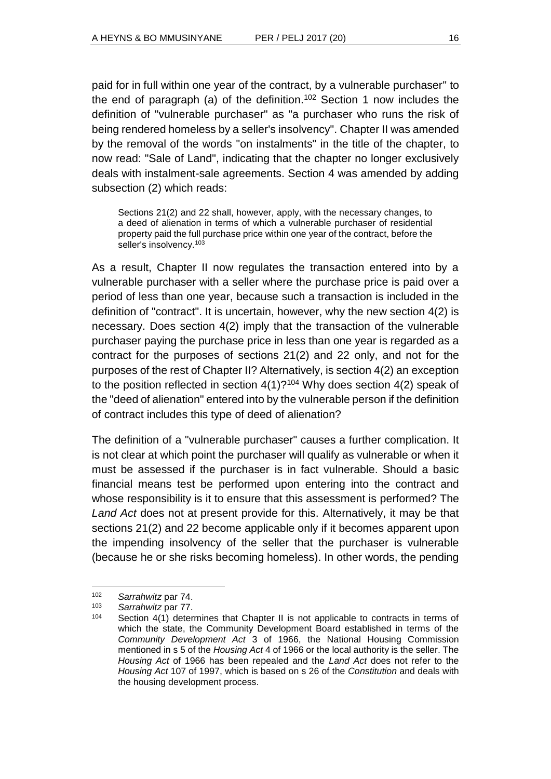paid for in full within one year of the contract, by a vulnerable purchaser" to the end of paragraph (a) of the definition.<sup>102</sup> Section 1 now includes the definition of "vulnerable purchaser" as "a purchaser who runs the risk of being rendered homeless by a seller's insolvency". Chapter II was amended by the removal of the words "on instalments" in the title of the chapter, to now read: "Sale of Land", indicating that the chapter no longer exclusively deals with instalment-sale agreements. Section 4 was amended by adding subsection (2) which reads:

Sections 21(2) and 22 shall, however, apply, with the necessary changes, to a deed of alienation in terms of which a vulnerable purchaser of residential property paid the full purchase price within one year of the contract, before the seller's insolvency.<sup>103</sup>

As a result, Chapter II now regulates the transaction entered into by a vulnerable purchaser with a seller where the purchase price is paid over a period of less than one year, because such a transaction is included in the definition of "contract". It is uncertain, however, why the new section 4(2) is necessary. Does section 4(2) imply that the transaction of the vulnerable purchaser paying the purchase price in less than one year is regarded as a contract for the purposes of sections 21(2) and 22 only, and not for the purposes of the rest of Chapter II? Alternatively, is section 4(2) an exception to the position reflected in section  $4(1)$ ?<sup>104</sup> Why does section  $4(2)$  speak of the "deed of alienation" entered into by the vulnerable person if the definition of contract includes this type of deed of alienation?

The definition of a "vulnerable purchaser" causes a further complication. It is not clear at which point the purchaser will qualify as vulnerable or when it must be assessed if the purchaser is in fact vulnerable. Should a basic financial means test be performed upon entering into the contract and whose responsibility is it to ensure that this assessment is performed? The *Land Act* does not at present provide for this. Alternatively, it may be that sections 21(2) and 22 become applicable only if it becomes apparent upon the impending insolvency of the seller that the purchaser is vulnerable (because he or she risks becoming homeless). In other words, the pending

<sup>102</sup> *Sarrahwitz* par 74.

Sarrahwitz par 77.

<sup>104</sup> Section 4(1) determines that Chapter II is not applicable to contracts in terms of which the state, the Community Development Board established in terms of the *Community Development Act* 3 of 1966, the National Housing Commission mentioned in s 5 of the *Housing Act* 4 of 1966 or the local authority is the seller. The *Housing Act* of 1966 has been repealed and the *Land Act* does not refer to the *Housing Act* 107 of 1997, which is based on s 26 of the *Constitution* and deals with the housing development process.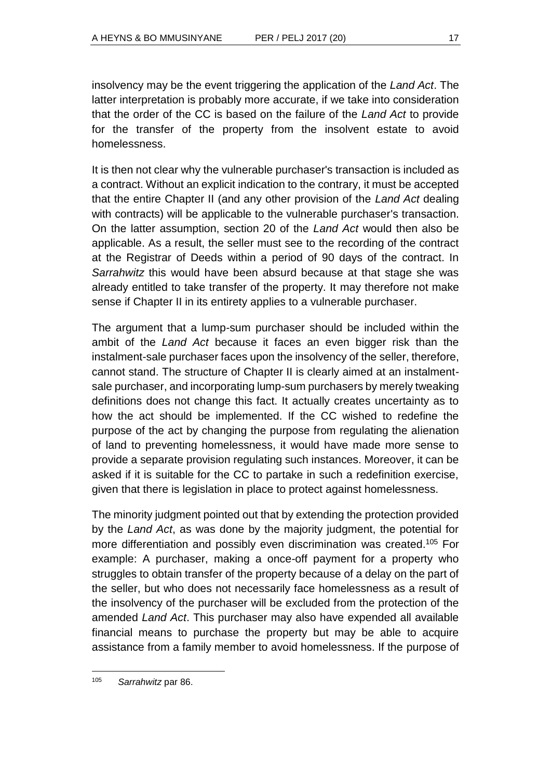insolvency may be the event triggering the application of the *Land Act*. The latter interpretation is probably more accurate, if we take into consideration that the order of the CC is based on the failure of the *Land Act* to provide for the transfer of the property from the insolvent estate to avoid homelessness.

It is then not clear why the vulnerable purchaser's transaction is included as a contract. Without an explicit indication to the contrary, it must be accepted that the entire Chapter II (and any other provision of the *Land Act* dealing with contracts) will be applicable to the vulnerable purchaser's transaction. On the latter assumption, section 20 of the *Land Act* would then also be applicable. As a result, the seller must see to the recording of the contract at the Registrar of Deeds within a period of 90 days of the contract. In *Sarrahwitz* this would have been absurd because at that stage she was already entitled to take transfer of the property. It may therefore not make sense if Chapter II in its entirety applies to a vulnerable purchaser.

The argument that a lump-sum purchaser should be included within the ambit of the *Land Act* because it faces an even bigger risk than the instalment-sale purchaser faces upon the insolvency of the seller, therefore, cannot stand. The structure of Chapter II is clearly aimed at an instalmentsale purchaser, and incorporating lump-sum purchasers by merely tweaking definitions does not change this fact. It actually creates uncertainty as to how the act should be implemented. If the CC wished to redefine the purpose of the act by changing the purpose from regulating the alienation of land to preventing homelessness, it would have made more sense to provide a separate provision regulating such instances. Moreover, it can be asked if it is suitable for the CC to partake in such a redefinition exercise, given that there is legislation in place to protect against homelessness.

The minority judgment pointed out that by extending the protection provided by the *Land Act*, as was done by the majority judgment, the potential for more differentiation and possibly even discrimination was created.<sup>105</sup> For example: A purchaser, making a once-off payment for a property who struggles to obtain transfer of the property because of a delay on the part of the seller, but who does not necessarily face homelessness as a result of the insolvency of the purchaser will be excluded from the protection of the amended *Land Act*. This purchaser may also have expended all available financial means to purchase the property but may be able to acquire assistance from a family member to avoid homelessness. If the purpose of

<sup>105</sup> *Sarrahwitz* par 86.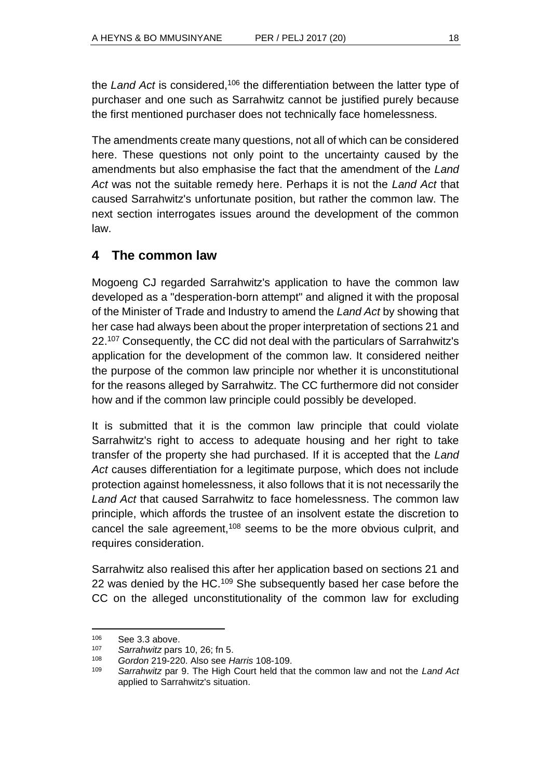the *Land Act* is considered,<sup>106</sup> the differentiation between the latter type of purchaser and one such as Sarrahwitz cannot be justified purely because the first mentioned purchaser does not technically face homelessness.

The amendments create many questions, not all of which can be considered here. These questions not only point to the uncertainty caused by the amendments but also emphasise the fact that the amendment of the *Land Act* was not the suitable remedy here. Perhaps it is not the *Land Act* that caused Sarrahwitz's unfortunate position, but rather the common law. The next section interrogates issues around the development of the common law.

# **4 The common law**

Mogoeng CJ regarded Sarrahwitz's application to have the common law developed as a "desperation-born attempt" and aligned it with the proposal of the Minister of Trade and Industry to amend the *Land Act* by showing that her case had always been about the proper interpretation of sections 21 and 22.<sup>107</sup> Consequently, the CC did not deal with the particulars of Sarrahwitz's application for the development of the common law. It considered neither the purpose of the common law principle nor whether it is unconstitutional for the reasons alleged by Sarrahwitz. The CC furthermore did not consider how and if the common law principle could possibly be developed.

It is submitted that it is the common law principle that could violate Sarrahwitz's right to access to adequate housing and her right to take transfer of the property she had purchased. If it is accepted that the *Land Act* causes differentiation for a legitimate purpose, which does not include protection against homelessness, it also follows that it is not necessarily the *Land Act* that caused Sarrahwitz to face homelessness. The common law principle, which affords the trustee of an insolvent estate the discretion to cancel the sale agreement,<sup>108</sup> seems to be the more obvious culprit, and requires consideration.

Sarrahwitz also realised this after her application based on sections 21 and 22 was denied by the HC.<sup>109</sup> She subsequently based her case before the CC on the alleged unconstitutionality of the common law for excluding

<sup>106</sup> See 3.3 above.

<sup>107</sup> *Sarrahwitz* pars 10, 26; fn 5.

<sup>108</sup> *Gordon* 219-220. Also see *Harris* 108-109.

<sup>109</sup> *Sarrahwitz* par 9. The High Court held that the common law and not the *Land Act* applied to Sarrahwitz's situation.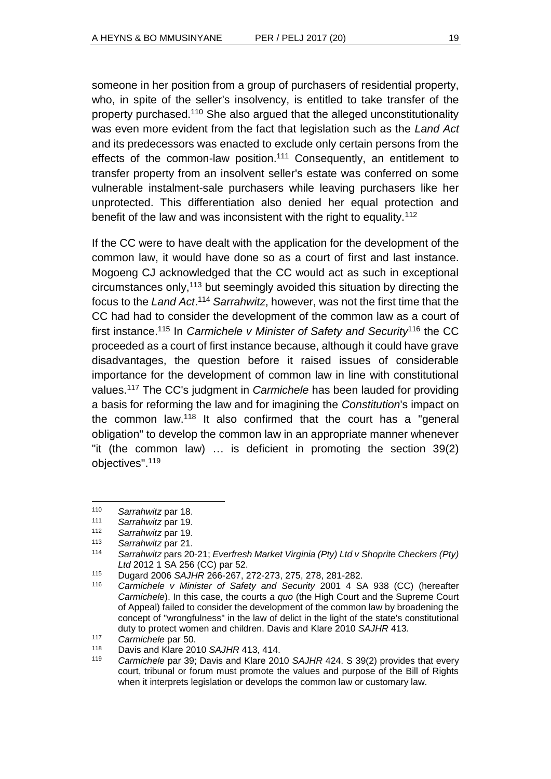someone in her position from a group of purchasers of residential property, who, in spite of the seller's insolvency, is entitled to take transfer of the property purchased.<sup>110</sup> She also argued that the alleged unconstitutionality was even more evident from the fact that legislation such as the *Land Act* and its predecessors was enacted to exclude only certain persons from the effects of the common-law position.<sup>111</sup> Consequently, an entitlement to transfer property from an insolvent seller's estate was conferred on some vulnerable instalment-sale purchasers while leaving purchasers like her unprotected. This differentiation also denied her equal protection and benefit of the law and was inconsistent with the right to equality.<sup>112</sup>

If the CC were to have dealt with the application for the development of the common law, it would have done so as a court of first and last instance. Mogoeng CJ acknowledged that the CC would act as such in exceptional circumstances only, <sup>113</sup> but seemingly avoided this situation by directing the focus to the *Land Act*. <sup>114</sup> *Sarrahwitz*, however, was not the first time that the CC had had to consider the development of the common law as a court of first instance.<sup>115</sup> In *Carmichele v Minister of Safety and Security*<sup>116</sup> the CC proceeded as a court of first instance because, although it could have grave disadvantages, the question before it raised issues of considerable importance for the development of common law in line with constitutional values.<sup>117</sup> The CC's judgment in *Carmichele* has been lauded for providing a basis for reforming the law and for imagining the *Constitution*'s impact on the common law.<sup>118</sup> It also confirmed that the court has a "general obligation" to develop the common law in an appropriate manner whenever "it (the common law) … is deficient in promoting the section 39(2) objectives". 119

<sup>110</sup> *Sarrahwitz* par 18.

<sup>111</sup> *Sarrahwitz* par 19.

<sup>112</sup> *Sarrahwitz* par 19.

<sup>113</sup> *Sarrahwitz* par 21.

<sup>114</sup> *Sarrahwitz* pars 20-21; *Everfresh Market Virginia (Pty) Ltd v Shoprite Checkers (Pty) Ltd* 2012 1 SA 256 (CC) par 52.

<sup>115</sup> Dugard 2006 *SAJHR* 266-267, 272-273, 275, 278, 281-282.

Carmichele v Minister of Safety and Security 2001 4 SA 938 (CC) (hereafter *Carmichele*). In this case, the courts *a quo* (the High Court and the Supreme Court of Appeal) failed to consider the development of the common law by broadening the concept of "wrongfulness" in the law of delict in the light of the state's constitutional duty to protect women and children. Davis and Klare 2010 *SAJHR* 413*.*

<sup>117</sup> *Carmichele* par 50.

<sup>118</sup> Davis and Klare 2010 *SAJHR* 413, 414.

<sup>119</sup> *Carmichele* par 39; Davis and Klare 2010 *SAJHR* 424. S 39(2) provides that every court, tribunal or forum must promote the values and purpose of the Bill of Rights when it interprets legislation or develops the common law or customary law.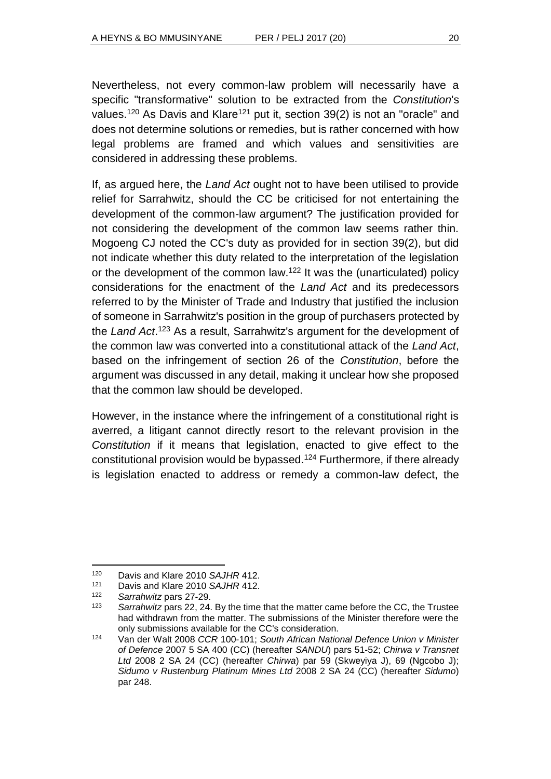Nevertheless, not every common-law problem will necessarily have a specific "transformative" solution to be extracted from the *Constitution*'s values.<sup>120</sup> As Davis and Klare<sup>121</sup> put it, section 39(2) is not an "oracle" and does not determine solutions or remedies, but is rather concerned with how legal problems are framed and which values and sensitivities are considered in addressing these problems.

If, as argued here, the *Land Act* ought not to have been utilised to provide relief for Sarrahwitz, should the CC be criticised for not entertaining the development of the common-law argument? The justification provided for not considering the development of the common law seems rather thin. Mogoeng CJ noted the CC's duty as provided for in section 39(2), but did not indicate whether this duty related to the interpretation of the legislation or the development of the common law.<sup>122</sup> It was the (unarticulated) policy considerations for the enactment of the *Land Act* and its predecessors referred to by the Minister of Trade and Industry that justified the inclusion of someone in Sarrahwitz's position in the group of purchasers protected by the *Land Act*. <sup>123</sup> As a result, Sarrahwitz's argument for the development of the common law was converted into a constitutional attack of the *Land Act*, based on the infringement of section 26 of the *Constitution*, before the argument was discussed in any detail, making it unclear how she proposed that the common law should be developed.

However, in the instance where the infringement of a constitutional right is averred, a litigant cannot directly resort to the relevant provision in the *Constitution* if it means that legislation, enacted to give effect to the constitutional provision would be bypassed.<sup>124</sup> Furthermore, if there already is legislation enacted to address or remedy a common-law defect, the

<sup>120</sup> Davis and Klare 2010 *SAJHR* 412.<br>121 Davis and Klare 2010 *SAJHR 412*.

<sup>121</sup> Davis and Klare 2010 *SAJHR* 412.

<sup>122</sup> *Sarrahwitz* pars 27-29.

Sarrahwitz pars 22, 24. By the time that the matter came before the CC, the Trustee had withdrawn from the matter. The submissions of the Minister therefore were the only submissions available for the CC's consideration.

<sup>124</sup> Van der Walt 2008 *CCR* 100-101; *South African National Defence Union v Minister of Defence* 2007 5 SA 400 (CC) (hereafter *SANDU*) pars 51-52; *Chirwa v Transnet Ltd* 2008 2 SA 24 (CC) (hereafter *Chirwa*) par 59 (Skweyiya J), 69 (Ngcobo J); *Sidumo v Rustenburg Platinum Mines Ltd* 2008 2 SA 24 (CC) (hereafter *Sidumo*) par 248.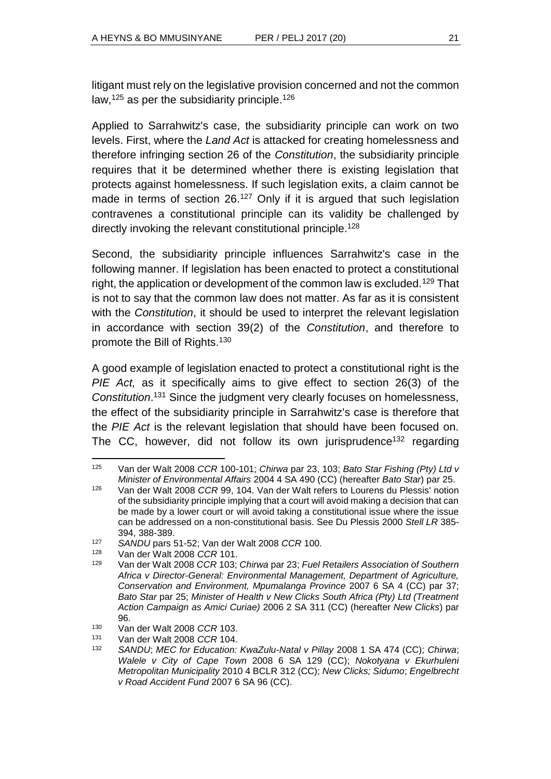litigant must rely on the legislative provision concerned and not the common law,<sup>125</sup> as per the subsidiarity principle.<sup>126</sup>

Applied to Sarrahwitz's case, the subsidiarity principle can work on two levels. First, where the *Land Act* is attacked for creating homelessness and therefore infringing section 26 of the *Constitution*, the subsidiarity principle requires that it be determined whether there is existing legislation that protects against homelessness. If such legislation exits, a claim cannot be made in terms of section 26.<sup>127</sup> Only if it is argued that such legislation contravenes a constitutional principle can its validity be challenged by directly invoking the relevant constitutional principle.<sup>128</sup>

Second, the subsidiarity principle influences Sarrahwitz's case in the following manner. If legislation has been enacted to protect a constitutional right, the application or development of the common law is excluded.<sup>129</sup> That is not to say that the common law does not matter. As far as it is consistent with the *Constitution*, it should be used to interpret the relevant legislation in accordance with section 39(2) of the *Constitution*, and therefore to promote the Bill of Rights.<sup>130</sup>

A good example of legislation enacted to protect a constitutional right is the *PIE Act,* as it specifically aims to give effect to section 26(3) of the *Constitution*. <sup>131</sup> Since the judgment very clearly focuses on homelessness, the effect of the subsidiarity principle in Sarrahwitz's case is therefore that the *PIE Act* is the relevant legislation that should have been focused on. The CC, however, did not follow its own jurisprudence<sup>132</sup> regarding

l <sup>125</sup> Van der Walt 2008 *CCR* 100-101; *Chirwa* par 23, 103; *Bato Star Fishing (Pty) Ltd v Minister of Environmental Affairs* 2004 4 SA 490 (CC) (hereafter *Bato Star*) par 25.

<sup>126</sup> Van der Walt 2008 *CCR* 99, 104. Van der Walt refers to Lourens du Plessis' notion of the subsidiarity principle implying that a court will avoid making a decision that can be made by a lower court or will avoid taking a constitutional issue where the issue can be addressed on a non-constitutional basis. See Du Plessis 2000 *Stell LR* 385- 394, 388-389.

<sup>127</sup> *SANDU* pars 51-52; Van der Walt 2008 *CCR* 100.

<sup>128</sup> Van der Walt 2008 *CCR* 101.

<sup>129</sup> Van der Walt 2008 *CCR* 103; *Chirwa* par 23; *Fuel Retailers Association of Southern Africa v Director-General: Environmental Management, Department of Agriculture, Conservation and Environment, Mpumalanga Province* 2007 6 SA 4 (CC) par 37; *Bato Star* par 25; *Minister of Health v New Clicks South Africa (Pty) Ltd (Treatment Action Campaign as Amici Curiae)* 2006 2 SA 311 (CC) (hereafter *New Clicks*) par 96.

<sup>130</sup> Van der Walt 2008 *CCR* 103.

<sup>131</sup> Van der Walt 2008 *CCR* 104.

<sup>132</sup> *SANDU*; *MEC for Education: KwaZulu-Natal v Pillay* 2008 1 SA 474 (CC); *Chirwa*; *Walele v City of Cape Town* 2008 6 SA 129 (CC); *Nokotyana v Ekurhuleni Metropolitan Municipality* 2010 4 BCLR 312 (CC); *New Clicks; Sidumo*; *Engelbrecht v Road Accident Fund* 2007 6 SA 96 (CC).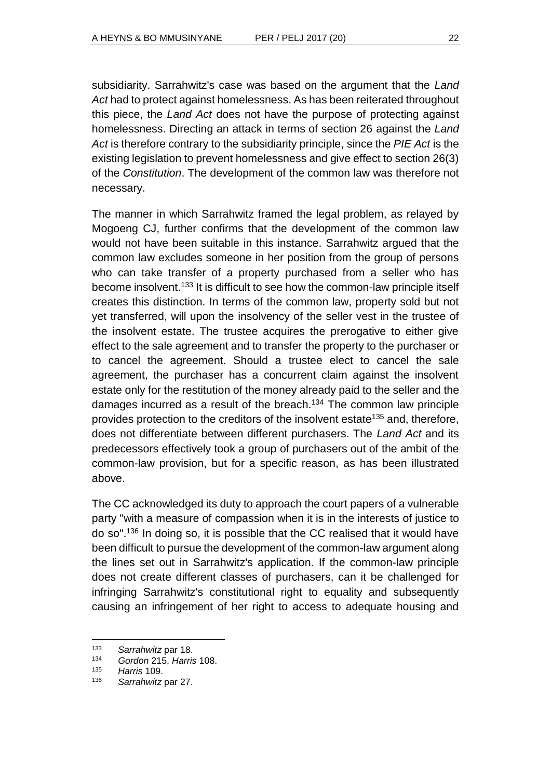subsidiarity. Sarrahwitz's case was based on the argument that the *Land Act* had to protect against homelessness. As has been reiterated throughout this piece, the *Land Act* does not have the purpose of protecting against homelessness. Directing an attack in terms of section 26 against the *Land Act* is therefore contrary to the subsidiarity principle, since the *PIE Act* is the existing legislation to prevent homelessness and give effect to section 26(3) of the *Constitution*. The development of the common law was therefore not necessary.

The manner in which Sarrahwitz framed the legal problem, as relayed by Mogoeng CJ, further confirms that the development of the common law would not have been suitable in this instance. Sarrahwitz argued that the common law excludes someone in her position from the group of persons who can take transfer of a property purchased from a seller who has become insolvent.<sup>133</sup> It is difficult to see how the common-law principle itself creates this distinction. In terms of the common law, property sold but not yet transferred, will upon the insolvency of the seller vest in the trustee of the insolvent estate. The trustee acquires the prerogative to either give effect to the sale agreement and to transfer the property to the purchaser or to cancel the agreement. Should a trustee elect to cancel the sale agreement, the purchaser has a concurrent claim against the insolvent estate only for the restitution of the money already paid to the seller and the damages incurred as a result of the breach.<sup>134</sup> The common law principle provides protection to the creditors of the insolvent estate<sup>135</sup> and, therefore, does not differentiate between different purchasers. The *Land Act* and its predecessors effectively took a group of purchasers out of the ambit of the common-law provision, but for a specific reason, as has been illustrated above.

The CC acknowledged its duty to approach the court papers of a vulnerable party "with a measure of compassion when it is in the interests of justice to do so". <sup>136</sup> In doing so, it is possible that the CC realised that it would have been difficult to pursue the development of the common-law argument along the lines set out in Sarrahwitz's application. If the common-law principle does not create different classes of purchasers, can it be challenged for infringing Sarrahwitz's constitutional right to equality and subsequently causing an infringement of her right to access to adequate housing and

<sup>133</sup> *Sarrahwitz* par 18.

<sup>134</sup> *Gordon* 215, *Harris* 108.

<sup>135</sup> *Harris* 109.

<sup>136</sup> *Sarrahwitz* par 27.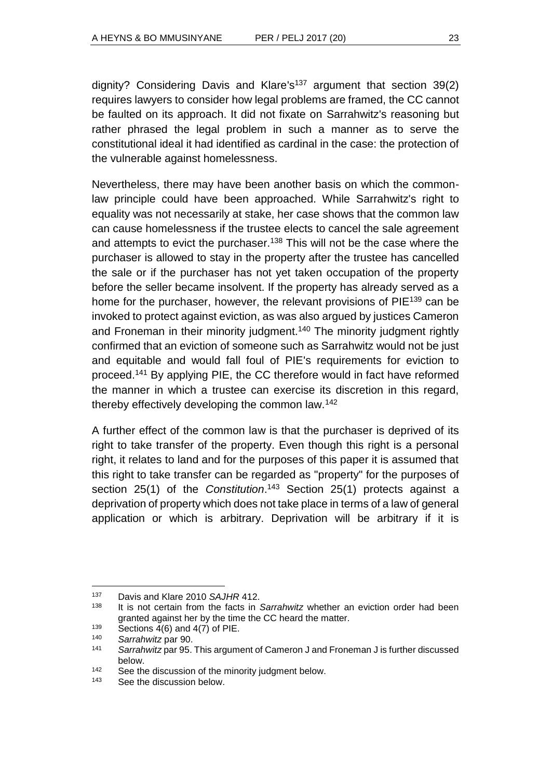dignity? Considering Davis and Klare's <sup>137</sup> argument that section 39(2) requires lawyers to consider how legal problems are framed, the CC cannot be faulted on its approach. It did not fixate on Sarrahwitz's reasoning but rather phrased the legal problem in such a manner as to serve the constitutional ideal it had identified as cardinal in the case: the protection of the vulnerable against homelessness.

Nevertheless, there may have been another basis on which the commonlaw principle could have been approached. While Sarrahwitz's right to equality was not necessarily at stake, her case shows that the common law can cause homelessness if the trustee elects to cancel the sale agreement and attempts to evict the purchaser.<sup>138</sup> This will not be the case where the purchaser is allowed to stay in the property after the trustee has cancelled the sale or if the purchaser has not yet taken occupation of the property before the seller became insolvent. If the property has already served as a home for the purchaser, however, the relevant provisions of PIE<sup>139</sup> can be invoked to protect against eviction, as was also argued by justices Cameron and Froneman in their minority judgment.<sup>140</sup> The minority judgment rightly confirmed that an eviction of someone such as Sarrahwitz would not be just and equitable and would fall foul of PIE's requirements for eviction to proceed.<sup>141</sup> By applying PIE, the CC therefore would in fact have reformed the manner in which a trustee can exercise its discretion in this regard, thereby effectively developing the common law.<sup>142</sup>

A further effect of the common law is that the purchaser is deprived of its right to take transfer of the property. Even though this right is a personal right, it relates to land and for the purposes of this paper it is assumed that this right to take transfer can be regarded as "property" for the purposes of section 25(1) of the *Constitution*. <sup>143</sup> Section 25(1) protects against a deprivation of property which does not take place in terms of a law of general application or which is arbitrary. Deprivation will be arbitrary if it is

<sup>137</sup> Davis and Klare 2010 *SAJHR* 412.

<sup>138</sup> It is not certain from the facts in *Sarrahwitz* whether an eviction order had been granted against her by the time the CC heard the matter.

 $139$  Sections 4(6) and 4(7) of PIE.

<sup>140</sup> *Sarrahwitz* par 90.

<sup>141</sup> *Sarrahwitz* par 95. This argument of Cameron J and Froneman J is further discussed below.

<sup>142</sup> See the discussion of the minority judgment below.

<sup>143</sup> See the discussion below.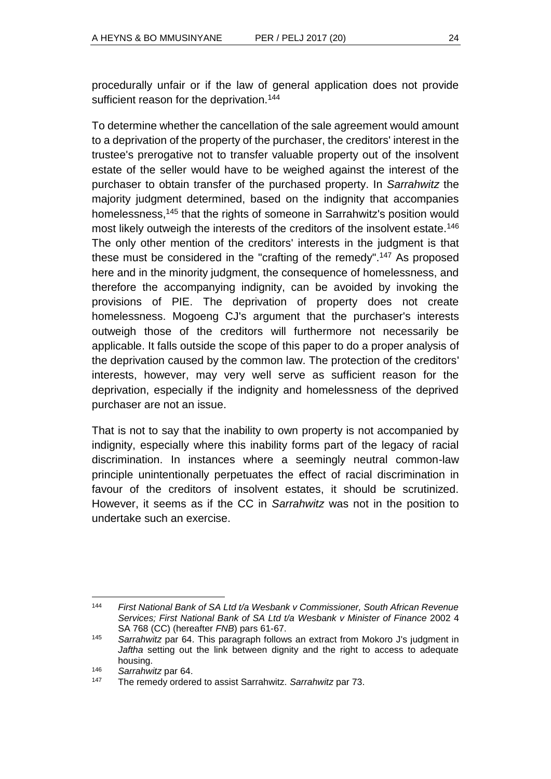procedurally unfair or if the law of general application does not provide sufficient reason for the deprivation.<sup>144</sup>

To determine whether the cancellation of the sale agreement would amount to a deprivation of the property of the purchaser, the creditors' interest in the trustee's prerogative not to transfer valuable property out of the insolvent estate of the seller would have to be weighed against the interest of the purchaser to obtain transfer of the purchased property. In *Sarrahwitz* the majority judgment determined, based on the indignity that accompanies homelessness,<sup>145</sup> that the rights of someone in Sarrahwitz's position would most likely outweigh the interests of the creditors of the insolvent estate.<sup>146</sup> The only other mention of the creditors' interests in the judgment is that these must be considered in the "crafting of the remedy". <sup>147</sup> As proposed here and in the minority judgment, the consequence of homelessness, and therefore the accompanying indignity, can be avoided by invoking the provisions of PIE. The deprivation of property does not create homelessness. Mogoeng CJ's argument that the purchaser's interests outweigh those of the creditors will furthermore not necessarily be applicable. It falls outside the scope of this paper to do a proper analysis of the deprivation caused by the common law. The protection of the creditors' interests, however, may very well serve as sufficient reason for the deprivation, especially if the indignity and homelessness of the deprived purchaser are not an issue.

That is not to say that the inability to own property is not accompanied by indignity, especially where this inability forms part of the legacy of racial discrimination. In instances where a seemingly neutral common-law principle unintentionally perpetuates the effect of racial discrimination in favour of the creditors of insolvent estates, it should be scrutinized. However, it seems as if the CC in *Sarrahwitz* was not in the position to undertake such an exercise.

l <sup>144</sup> *First National Bank of SA Ltd t/a Wesbank v Commissioner, South African Revenue Services; First National Bank of SA Ltd t/a Wesbank v Minister of Finance* 2002 4 SA 768 (CC) (hereafter *FNB*) pars 61-67.

<sup>145</sup> *Sarrahwitz* par 64. This paragraph follows an extract from Mokoro J's judgment in *Jaftha* setting out the link between dignity and the right to access to adequate housing.

<sup>146</sup> *Sarrahwitz* par 64.

<sup>147</sup> The remedy ordered to assist Sarrahwitz. *Sarrahwitz* par 73.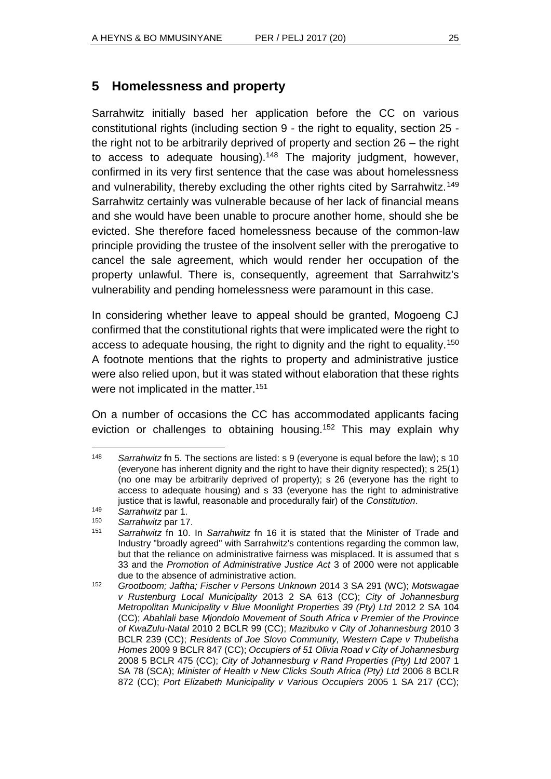# **5 Homelessness and property**

Sarrahwitz initially based her application before the CC on various constitutional rights (including section 9 - the right to equality, section 25 the right not to be arbitrarily deprived of property and section 26 – the right to access to adequate housing).<sup>148</sup> The majority judgment, however, confirmed in its very first sentence that the case was about homelessness and vulnerability, thereby excluding the other rights cited by Sarrahwitz.<sup>149</sup> Sarrahwitz certainly was vulnerable because of her lack of financial means and she would have been unable to procure another home, should she be evicted. She therefore faced homelessness because of the common-law principle providing the trustee of the insolvent seller with the prerogative to cancel the sale agreement, which would render her occupation of the property unlawful. There is, consequently, agreement that Sarrahwitz's vulnerability and pending homelessness were paramount in this case.

In considering whether leave to appeal should be granted, Mogoeng CJ confirmed that the constitutional rights that were implicated were the right to access to adequate housing, the right to dignity and the right to equality.<sup>150</sup> A footnote mentions that the rights to property and administrative justice were also relied upon, but it was stated without elaboration that these rights were not implicated in the matter.<sup>151</sup>

On a number of occasions the CC has accommodated applicants facing eviction or challenges to obtaining housing.<sup>152</sup> This may explain why

l <sup>148</sup> Sarrahwitz fn 5. The sections are listed: s 9 (everyone is equal before the law); s 10 (everyone has inherent dignity and the right to have their dignity respected); s 25(1) (no one may be arbitrarily deprived of property); s 26 (everyone has the right to access to adequate housing) and s 33 (everyone has the right to administrative justice that is lawful, reasonable and procedurally fair) of the *Constitution*.

<sup>149</sup> *Sarrahwitz* par 1.

<sup>150</sup> *Sarrahwitz* par 17.

Sarrahwitz fn 10. In Sarrahwitz fn 16 it is stated that the Minister of Trade and Industry "broadly agreed" with Sarrahwitz's contentions regarding the common law, but that the reliance on administrative fairness was misplaced. It is assumed that s 33 and the *Promotion of Administrative Justice Act* 3 of 2000 were not applicable due to the absence of administrative action.

<sup>152</sup> *Grootboom; Jaftha; Fischer v Persons Unknown* 2014 3 SA 291 (WC); *Motswagae v Rustenburg Local Municipality* 2013 2 SA 613 (CC); *City of Johannesburg Metropolitan Municipality v Blue Moonlight Properties 39 (Pty) Ltd 2012 2 SA 104* (CC); *Abahlali base Mjondolo Movement of South Africa v Premier of the Province of KwaZulu-Natal* 2010 2 BCLR 99 (CC); *Mazibuko v City of Johannesburg* 2010 3 BCLR 239 (CC); *Residents of Joe Slovo Community, Western Cape v Thubelisha Homes* 2009 9 BCLR 847 (CC); *Occupiers of 51 Olivia Road v City of Johannesburg*  2008 5 BCLR 475 (CC); *City of Johannesburg v Rand Properties (Pty) Ltd* 2007 1 SA 78 (SCA); *Minister of Health v New Clicks South Africa (Pty) Ltd* 2006 8 BCLR 872 (CC); *Port Elizabeth Municipality v Various Occupiers* 2005 1 SA 217 (CC);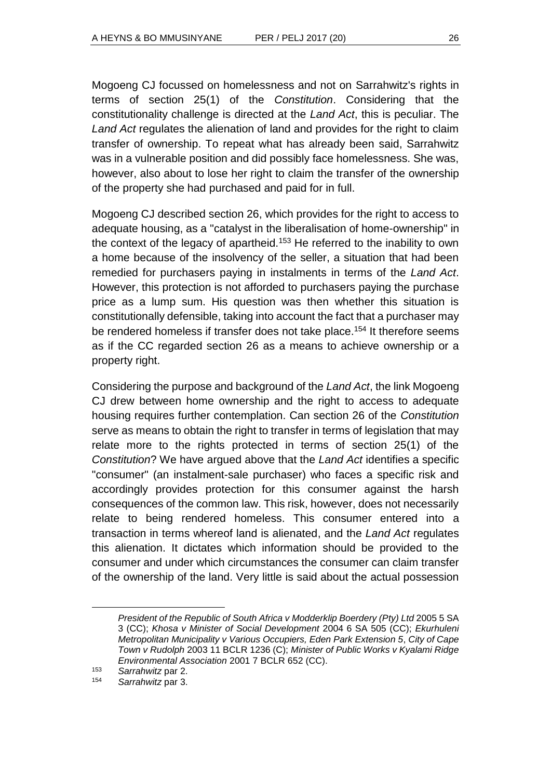Mogoeng CJ focussed on homelessness and not on Sarrahwitz's rights in terms of section 25(1) of the *Constitution*. Considering that the constitutionality challenge is directed at the *Land Act*, this is peculiar. The *Land Act* regulates the alienation of land and provides for the right to claim transfer of ownership. To repeat what has already been said, Sarrahwitz was in a vulnerable position and did possibly face homelessness. She was, however, also about to lose her right to claim the transfer of the ownership of the property she had purchased and paid for in full.

Mogoeng CJ described section 26, which provides for the right to access to adequate housing, as a "catalyst in the liberalisation of home-ownership" in the context of the legacy of apartheid.<sup>153</sup> He referred to the inability to own a home because of the insolvency of the seller, a situation that had been remedied for purchasers paying in instalments in terms of the *Land Act*. However, this protection is not afforded to purchasers paying the purchase price as a lump sum. His question was then whether this situation is constitutionally defensible, taking into account the fact that a purchaser may be rendered homeless if transfer does not take place.<sup>154</sup> It therefore seems as if the CC regarded section 26 as a means to achieve ownership or a property right.

Considering the purpose and background of the *Land Act*, the link Mogoeng CJ drew between home ownership and the right to access to adequate housing requires further contemplation. Can section 26 of the *Constitution* serve as means to obtain the right to transfer in terms of legislation that may relate more to the rights protected in terms of section 25(1) of the *Constitution*? We have argued above that the *Land Act* identifies a specific "consumer" (an instalment-sale purchaser) who faces a specific risk and accordingly provides protection for this consumer against the harsh consequences of the common law. This risk, however, does not necessarily relate to being rendered homeless. This consumer entered into a transaction in terms whereof land is alienated, and the *Land Act* regulates this alienation. It dictates which information should be provided to the consumer and under which circumstances the consumer can claim transfer of the ownership of the land. Very little is said about the actual possession

*President of the Republic of South Africa v Modderklip Boerdery (Pty) Ltd* 2005 5 SA 3 (CC); *Khosa v Minister of Social Development* 2004 6 SA 505 (CC); *Ekurhuleni Metropolitan Municipality v Various Occupiers, Eden Park Extension 5*, *City of Cape Town v Rudolph* 2003 11 BCLR 1236 (C); *Minister of Public Works v Kyalami Ridge Environmental Association* 2001 7 BCLR 652 (CC).

<sup>153</sup> *Sarrahwitz* par 2.

<sup>154</sup> *Sarrahwitz* par 3.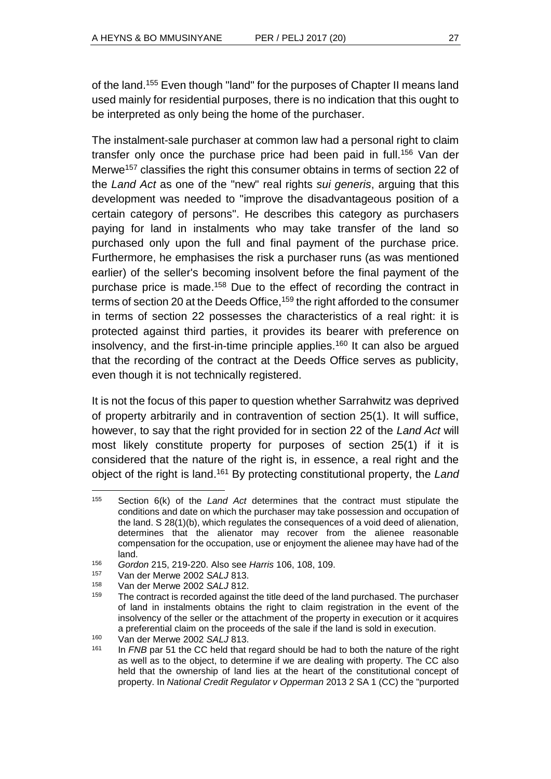of the land.<sup>155</sup> Even though "land" for the purposes of Chapter II means land used mainly for residential purposes, there is no indication that this ought to be interpreted as only being the home of the purchaser.

The instalment-sale purchaser at common law had a personal right to claim transfer only once the purchase price had been paid in full.<sup>156</sup> Van der Merwe<sup>157</sup> classifies the right this consumer obtains in terms of section 22 of the *Land Act* as one of the "new" real rights *sui generis*, arguing that this development was needed to "improve the disadvantageous position of a certain category of persons". He describes this category as purchasers paying for land in instalments who may take transfer of the land so purchased only upon the full and final payment of the purchase price. Furthermore, he emphasises the risk a purchaser runs (as was mentioned earlier) of the seller's becoming insolvent before the final payment of the purchase price is made.<sup>158</sup> Due to the effect of recording the contract in terms of section 20 at the Deeds Office,<sup>159</sup> the right afforded to the consumer in terms of section 22 possesses the characteristics of a real right: it is protected against third parties, it provides its bearer with preference on insolvency, and the first-in-time principle applies.<sup>160</sup> It can also be argued that the recording of the contract at the Deeds Office serves as publicity, even though it is not technically registered.

It is not the focus of this paper to question whether Sarrahwitz was deprived of property arbitrarily and in contravention of section 25(1). It will suffice, however, to say that the right provided for in section 22 of the *Land Act* will most likely constitute property for purposes of section 25(1) if it is considered that the nature of the right is, in essence, a real right and the object of the right is land. <sup>161</sup> By protecting constitutional property, the *Land* 

l <sup>155</sup> Section 6(k) of the *Land Act* determines that the contract must stipulate the conditions and date on which the purchaser may take possession and occupation of the land. S 28(1)(b), which regulates the consequences of a void deed of alienation, determines that the alienator may recover from the alienee reasonable compensation for the occupation, use or enjoyment the alienee may have had of the land.

<sup>156</sup> *Gordon* 215, 219-220. Also see *Harris* 106, 108, 109.

<sup>157</sup> Van der Merwe 2002 *SALJ* 813.

<sup>158</sup> Van der Merwe 2002 *SALJ* 812.

 $159$  The contract is recorded against the title deed of the land purchased. The purchaser of land in instalments obtains the right to claim registration in the event of the insolvency of the seller or the attachment of the property in execution or it acquires a preferential claim on the proceeds of the sale if the land is sold in execution.

<sup>160</sup> Van der Merwe 2002 *SALJ* 813.

<sup>161</sup> In *FNB* par 51 the CC held that regard should be had to both the nature of the right as well as to the object, to determine if we are dealing with property. The CC also held that the ownership of land lies at the heart of the constitutional concept of property. In *National Credit Regulator v Opperman* 2013 2 SA 1 (CC) the "purported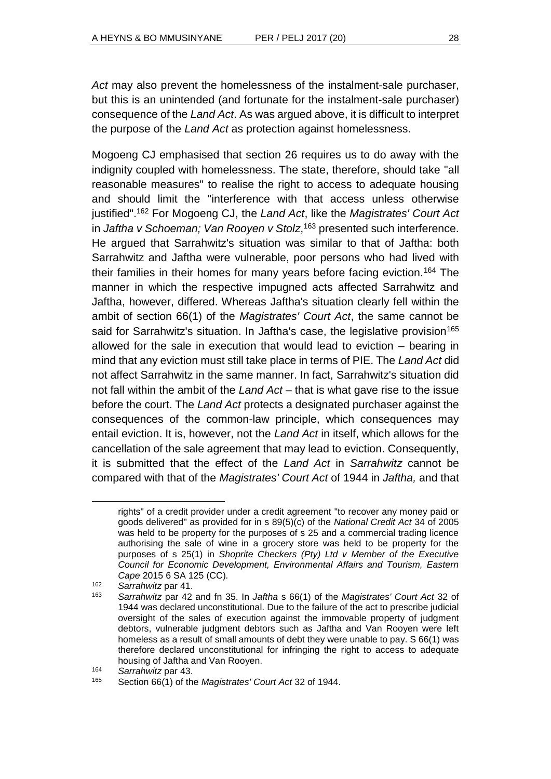Act may also prevent the homelessness of the instalment-sale purchaser, but this is an unintended (and fortunate for the instalment-sale purchaser) consequence of the *Land Act*. As was argued above, it is difficult to interpret the purpose of the *Land Act* as protection against homelessness.

Mogoeng CJ emphasised that section 26 requires us to do away with the indignity coupled with homelessness. The state, therefore, should take "all reasonable measures" to realise the right to access to adequate housing and should limit the "interference with that access unless otherwise justified". <sup>162</sup> For Mogoeng CJ, the *Land Act*, like the *Magistrates' Court Act* in *Jaftha v Schoeman; Van Rooyen v Stolz*, <sup>163</sup> presented such interference. He argued that Sarrahwitz's situation was similar to that of Jaftha: both Sarrahwitz and Jaftha were vulnerable, poor persons who had lived with their families in their homes for many years before facing eviction.<sup>164</sup> The manner in which the respective impugned acts affected Sarrahwitz and Jaftha, however, differed. Whereas Jaftha's situation clearly fell within the ambit of section 66(1) of the *Magistrates' Court Act*, the same cannot be said for Sarrahwitz's situation. In Jaftha's case, the legislative provision<sup>165</sup> allowed for the sale in execution that would lead to eviction – bearing in mind that any eviction must still take place in terms of PIE. The *Land Act* did not affect Sarrahwitz in the same manner. In fact, Sarrahwitz's situation did not fall within the ambit of the *Land Act* – that is what gave rise to the issue before the court. The *Land Act* protects a designated purchaser against the consequences of the common-law principle, which consequences may entail eviction. It is, however, not the *Land Act* in itself, which allows for the cancellation of the sale agreement that may lead to eviction. Consequently, it is submitted that the effect of the *Land Act* in *Sarrahwitz* cannot be compared with that of the *Magistrates' Court Act* of 1944 in *Jaftha,* and that

rights" of a credit provider under a credit agreement "to recover any money paid or goods delivered" as provided for in s 89(5)(c) of the *National Credit Act* 34 of 2005 was held to be property for the purposes of s 25 and a commercial trading licence authorising the sale of wine in a grocery store was held to be property for the purposes of s 25(1) in *Shoprite Checkers (Pty) Ltd v Member of the Executive Council for Economic Development, Environmental Affairs and Tourism, Eastern Cape* 2015 6 SA 125 (CC)*.*

<sup>162</sup> *Sarrahwitz* par 41.

<sup>163</sup> *Sarrahwitz* par 42 and fn 35. In *Jaftha* s 66(1) of the *Magistrates' Court Act* 32 of 1944 was declared unconstitutional. Due to the failure of the act to prescribe judicial oversight of the sales of execution against the immovable property of judgment debtors, vulnerable judgment debtors such as Jaftha and Van Rooyen were left homeless as a result of small amounts of debt they were unable to pay. S 66(1) was therefore declared unconstitutional for infringing the right to access to adequate housing of Jaftha and Van Rooyen.

<sup>164</sup> *Sarrahwitz* par 43.

<sup>165</sup> Section 66(1) of the *Magistrates' Court Act* 32 of 1944.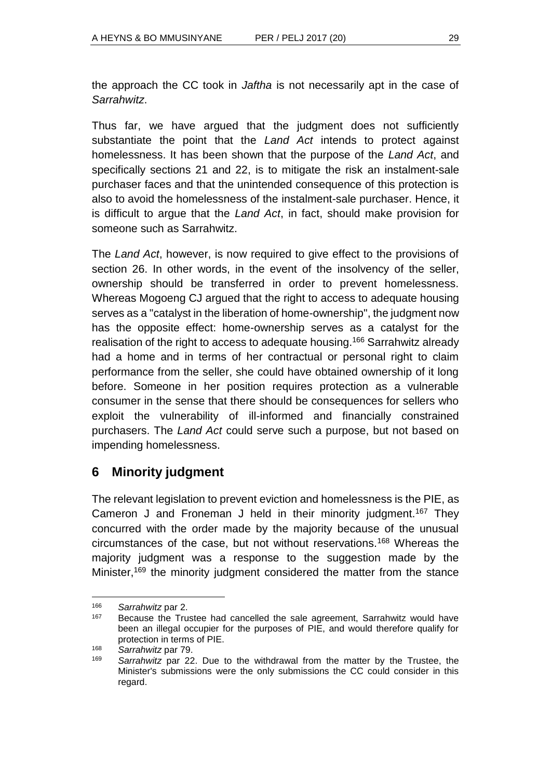the approach the CC took in *Jaftha* is not necessarily apt in the case of *Sarrahwitz*.

Thus far, we have argued that the judgment does not sufficiently substantiate the point that the *Land Act* intends to protect against homelessness. It has been shown that the purpose of the *Land Act*, and specifically sections 21 and 22, is to mitigate the risk an instalment-sale purchaser faces and that the unintended consequence of this protection is also to avoid the homelessness of the instalment-sale purchaser. Hence, it is difficult to argue that the *Land Act*, in fact, should make provision for someone such as Sarrahwitz.

The *Land Act*, however, is now required to give effect to the provisions of section 26. In other words, in the event of the insolvency of the seller, ownership should be transferred in order to prevent homelessness. Whereas Mogoeng CJ argued that the right to access to adequate housing serves as a "catalyst in the liberation of home-ownership", the judgment now has the opposite effect: home-ownership serves as a catalyst for the realisation of the right to access to adequate housing.<sup>166</sup> Sarrahwitz already had a home and in terms of her contractual or personal right to claim performance from the seller, she could have obtained ownership of it long before. Someone in her position requires protection as a vulnerable consumer in the sense that there should be consequences for sellers who exploit the vulnerability of ill-informed and financially constrained purchasers. The *Land Act* could serve such a purpose, but not based on impending homelessness.

# **6 Minority judgment**

The relevant legislation to prevent eviction and homelessness is the PIE, as Cameron J and Froneman J held in their minority judgment.<sup>167</sup> They concurred with the order made by the majority because of the unusual circumstances of the case, but not without reservations.<sup>168</sup> Whereas the majority judgment was a response to the suggestion made by the Minister,<sup>169</sup> the minority judgment considered the matter from the stance

 <sup>166</sup> *Sarrahwitz* par 2.

<sup>&</sup>lt;sup>167</sup> Because the Trustee had cancelled the sale agreement, Sarrahwitz would have been an illegal occupier for the purposes of PIE, and would therefore qualify for protection in terms of PIE.

<sup>168</sup> *Sarrahwitz* par 79.

<sup>169</sup> *Sarrahwitz* par 22. Due to the withdrawal from the matter by the Trustee, the Minister's submissions were the only submissions the CC could consider in this regard.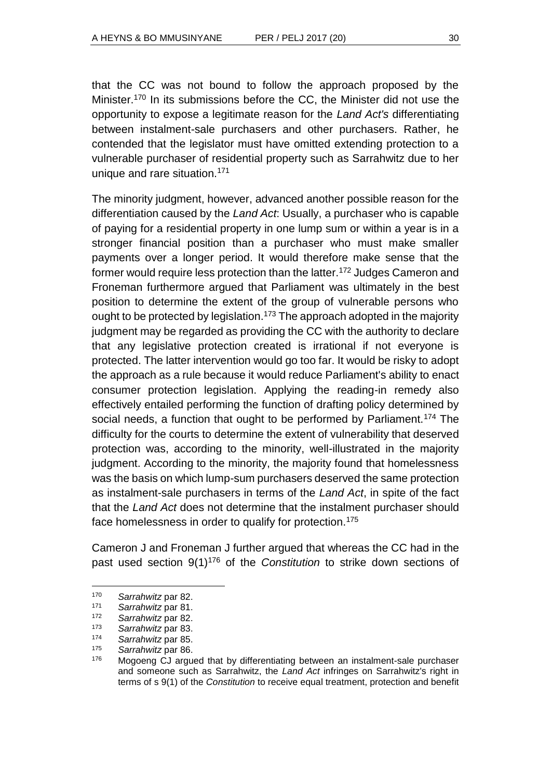that the CC was not bound to follow the approach proposed by the Minister.<sup>170</sup> In its submissions before the CC, the Minister did not use the opportunity to expose a legitimate reason for the *Land Act's* differentiating between instalment-sale purchasers and other purchasers. Rather, he contended that the legislator must have omitted extending protection to a vulnerable purchaser of residential property such as Sarrahwitz due to her unique and rare situation.<sup>171</sup>

The minority judgment, however, advanced another possible reason for the differentiation caused by the *Land Act*: Usually, a purchaser who is capable of paying for a residential property in one lump sum or within a year is in a stronger financial position than a purchaser who must make smaller payments over a longer period. It would therefore make sense that the former would require less protection than the latter.<sup>172</sup> Judges Cameron and Froneman furthermore argued that Parliament was ultimately in the best position to determine the extent of the group of vulnerable persons who ought to be protected by legislation.<sup>173</sup> The approach adopted in the majority judgment may be regarded as providing the CC with the authority to declare that any legislative protection created is irrational if not everyone is protected. The latter intervention would go too far. It would be risky to adopt the approach as a rule because it would reduce Parliament's ability to enact consumer protection legislation. Applying the reading-in remedy also effectively entailed performing the function of drafting policy determined by social needs, a function that ought to be performed by Parliament.<sup>174</sup> The difficulty for the courts to determine the extent of vulnerability that deserved protection was, according to the minority, well-illustrated in the majority judgment. According to the minority, the majority found that homelessness was the basis on which lump-sum purchasers deserved the same protection as instalment-sale purchasers in terms of the *Land Act*, in spite of the fact that the *Land Act* does not determine that the instalment purchaser should face homelessness in order to qualify for protection.<sup>175</sup>

Cameron J and Froneman J further argued that whereas the CC had in the past used section 9(1)<sup>176</sup> of the *Constitution* to strike down sections of

<sup>170</sup> *Sarrahwitz* par 82.

Sarrahwitz par 81.

<sup>172</sup> *Sarrahwitz* par 82.

<sup>173</sup> *Sarrahwitz* par 83.

<sup>174</sup> *Sarrahwitz* par 85.

<sup>175</sup> *Sarrahwitz* par 86.

 $176$  Mogoeng CJ argued that by differentiating between an instalment-sale purchaser and someone such as Sarrahwitz, the *Land Act* infringes on Sarrahwitz's right in terms of s 9(1) of the *Constitution* to receive equal treatment, protection and benefit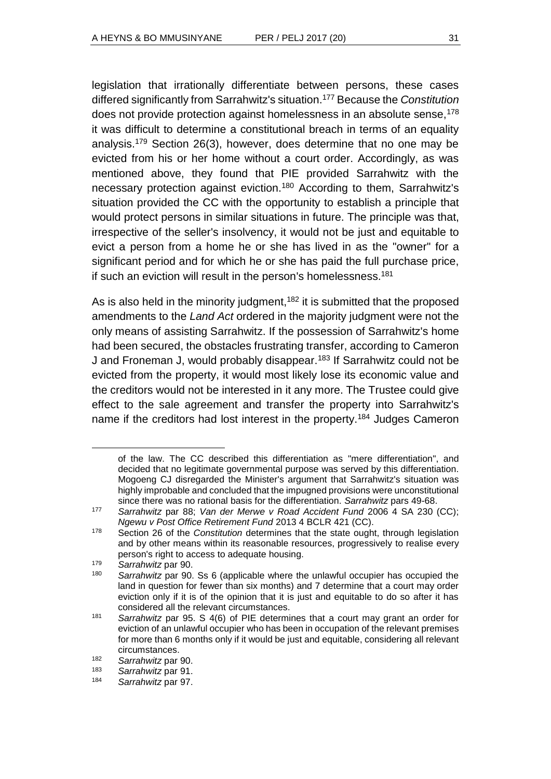legislation that irrationally differentiate between persons, these cases differed significantly from Sarrahwitz's situation.<sup>177</sup> Because the *Constitution* does not provide protection against homelessness in an absolute sense,<sup>178</sup> it was difficult to determine a constitutional breach in terms of an equality analysis.<sup>179</sup> Section 26(3), however, does determine that no one may be evicted from his or her home without a court order. Accordingly, as was mentioned above, they found that PIE provided Sarrahwitz with the necessary protection against eviction.<sup>180</sup> According to them, Sarrahwitz's situation provided the CC with the opportunity to establish a principle that would protect persons in similar situations in future. The principle was that, irrespective of the seller's insolvency, it would not be just and equitable to evict a person from a home he or she has lived in as the "owner" for a significant period and for which he or she has paid the full purchase price, if such an eviction will result in the person's homelessness.<sup>181</sup>

As is also held in the minority judgment,<sup>182</sup> it is submitted that the proposed amendments to the *Land Act* ordered in the majority judgment were not the only means of assisting Sarrahwitz. If the possession of Sarrahwitz's home had been secured, the obstacles frustrating transfer, according to Cameron J and Froneman J, would probably disappear.<sup>183</sup> If Sarrahwitz could not be evicted from the property, it would most likely lose its economic value and the creditors would not be interested in it any more. The Trustee could give effect to the sale agreement and transfer the property into Sarrahwitz's name if the creditors had lost interest in the property.<sup>184</sup> Judges Cameron

of the law. The CC described this differentiation as "mere differentiation", and decided that no legitimate governmental purpose was served by this differentiation. Mogoeng CJ disregarded the Minister's argument that Sarrahwitz's situation was highly improbable and concluded that the impugned provisions were unconstitutional since there was no rational basis for the differentiation. *Sarrahwitz* pars 49-68.

<sup>177</sup> *Sarrahwitz* par 88; *Van der Merwe v Road Accident Fund* 2006 4 SA 230 (CC); *Ngewu v Post Office Retirement Fund* 2013 4 BCLR 421 (CC).

<sup>178</sup> Section 26 of the *Constitution* determines that the state ought, through legislation and by other means within its reasonable resources, progressively to realise every person's right to access to adequate housing.

<sup>179</sup> *Sarrahwitz* par 90.

Sarrahwitz par 90. Ss 6 (applicable where the unlawful occupier has occupied the land in question for fewer than six months) and 7 determine that a court may order eviction only if it is of the opinion that it is just and equitable to do so after it has considered all the relevant circumstances.

<sup>181</sup> *Sarrahwitz* par 95. S 4(6) of PIE determines that a court may grant an order for eviction of an unlawful occupier who has been in occupation of the relevant premises for more than 6 months only if it would be just and equitable, considering all relevant circumstances.

<sup>182</sup> *Sarrahwitz* par 90.

<sup>183</sup> *Sarrahwitz* par 91.

<sup>184</sup> *Sarrahwitz* par 97.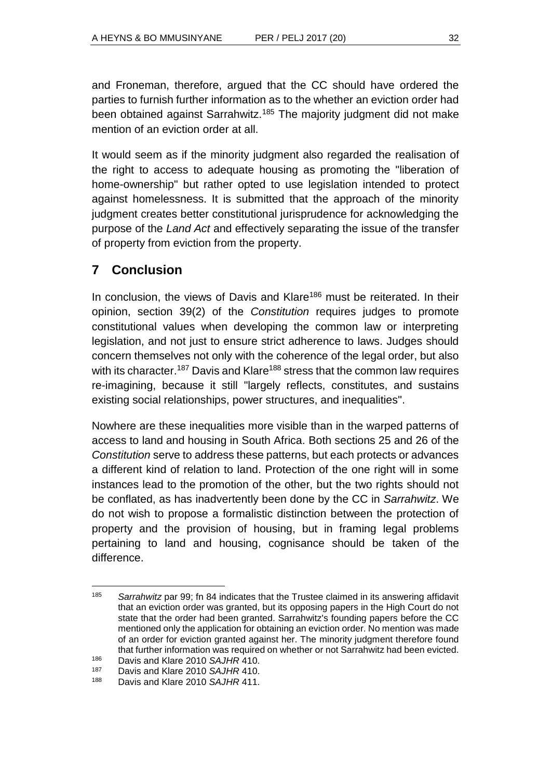and Froneman, therefore, argued that the CC should have ordered the parties to furnish further information as to the whether an eviction order had been obtained against Sarrahwitz.<sup>185</sup> The majority judgment did not make mention of an eviction order at all.

It would seem as if the minority judgment also regarded the realisation of the right to access to adequate housing as promoting the "liberation of home-ownership" but rather opted to use legislation intended to protect against homelessness. It is submitted that the approach of the minority judgment creates better constitutional jurisprudence for acknowledging the purpose of the *Land Act* and effectively separating the issue of the transfer of property from eviction from the property.

# **7 Conclusion**

In conclusion, the views of Davis and Klare<sup>186</sup> must be reiterated. In their opinion, section 39(2) of the *Constitution* requires judges to promote constitutional values when developing the common law or interpreting legislation, and not just to ensure strict adherence to laws. Judges should concern themselves not only with the coherence of the legal order, but also with its character.<sup>187</sup> Davis and Klare<sup>188</sup> stress that the common law requires re-imagining, because it still "largely reflects, constitutes, and sustains existing social relationships, power structures, and inequalities".

Nowhere are these inequalities more visible than in the warped patterns of access to land and housing in South Africa. Both sections 25 and 26 of the *Constitution* serve to address these patterns, but each protects or advances a different kind of relation to land. Protection of the one right will in some instances lead to the promotion of the other, but the two rights should not be conflated, as has inadvertently been done by the CC in *Sarrahwitz*. We do not wish to propose a formalistic distinction between the protection of property and the provision of housing, but in framing legal problems pertaining to land and housing, cognisance should be taken of the difference.

 <sup>185</sup> *Sarrahwitz* par 99; fn 84 indicates that the Trustee claimed in its answering affidavit that an eviction order was granted, but its opposing papers in the High Court do not state that the order had been granted. Sarrahwitz's founding papers before the CC mentioned only the application for obtaining an eviction order. No mention was made of an order for eviction granted against her. The minority judgment therefore found that further information was required on whether or not Sarrahwitz had been evicted.

<sup>186</sup> Davis and Klare 2010 *SAJHR* 410.<br>187 Davis and Klare 2010 *SAJHR* 410. Davis and Klare 2010 SAJHR 410.

<sup>188</sup> Davis and Klare 2010 *SAJHR* 411.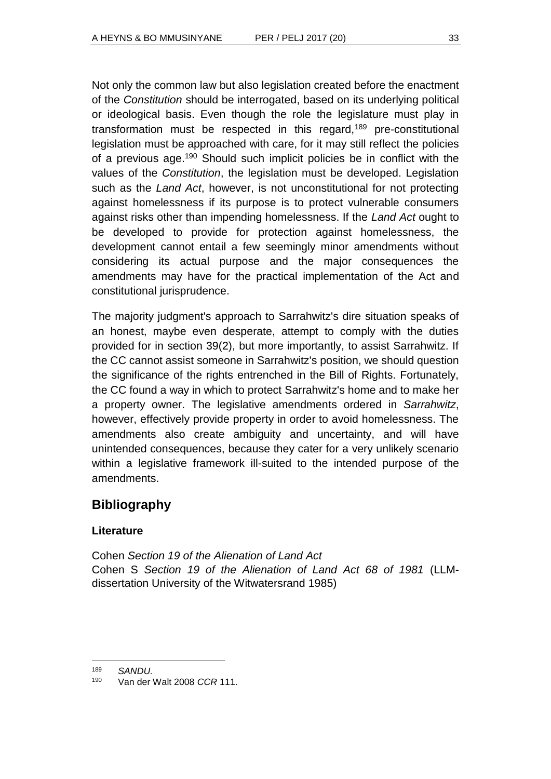Not only the common law but also legislation created before the enactment of the *Constitution* should be interrogated, based on its underlying political or ideological basis. Even though the role the legislature must play in transformation must be respected in this regard,<sup>189</sup> pre-constitutional legislation must be approached with care, for it may still reflect the policies of a previous age.<sup>190</sup> Should such implicit policies be in conflict with the values of the *Constitution*, the legislation must be developed. Legislation such as the *Land Act*, however, is not unconstitutional for not protecting against homelessness if its purpose is to protect vulnerable consumers against risks other than impending homelessness. If the *Land Act* ought to be developed to provide for protection against homelessness, the development cannot entail a few seemingly minor amendments without considering its actual purpose and the major consequences the amendments may have for the practical implementation of the Act and constitutional jurisprudence.

The majority judgment's approach to Sarrahwitz's dire situation speaks of an honest, maybe even desperate, attempt to comply with the duties provided for in section 39(2), but more importantly, to assist Sarrahwitz. If the CC cannot assist someone in Sarrahwitz's position, we should question the significance of the rights entrenched in the Bill of Rights. Fortunately, the CC found a way in which to protect Sarrahwitz's home and to make her a property owner. The legislative amendments ordered in *Sarrahwitz*, however, effectively provide property in order to avoid homelessness. The amendments also create ambiguity and uncertainty, and will have unintended consequences, because they cater for a very unlikely scenario within a legislative framework ill-suited to the intended purpose of the amendments.

# **Bibliography**

# **Literature**

Cohen *Section 19 of the Alienation of Land Act* Cohen S *Section 19 of the Alienation of Land Act 68 of 1981* (LLMdissertation University of the Witwatersrand 1985)

 <sup>189</sup> *SANDU.*

<sup>190</sup> Van der Walt 2008 *CCR* 111.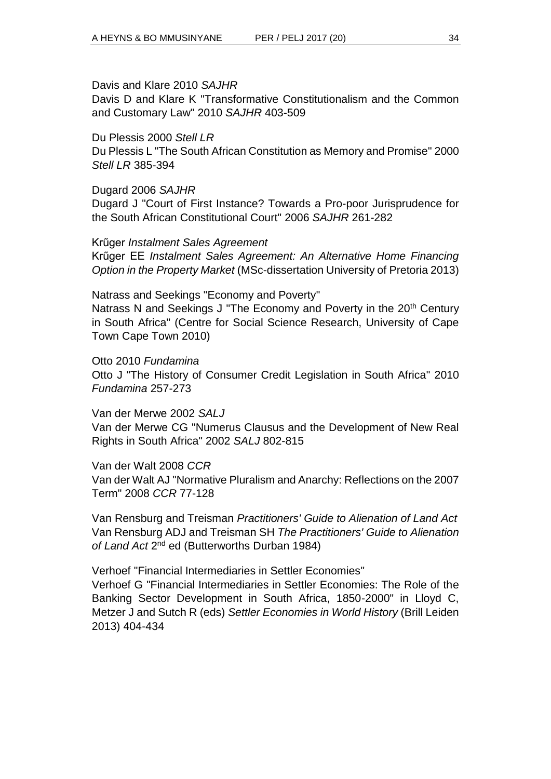Davis and Klare 2010 *SAJHR*

Davis D and Klare K "Transformative Constitutionalism and the Common and Customary Law" 2010 *SAJHR* 403-509

### Du Plessis 2000 *Stell LR*

Du Plessis L "The South African Constitution as Memory and Promise" 2000 *Stell LR* 385-394

### Dugard 2006 *SAJHR*

Dugard J "Court of First Instance? Towards a Pro-poor Jurisprudence for the South African Constitutional Court" 2006 *SAJHR* 261-282

### Krűger *Instalment Sales Agreement*

Krűger EE *Instalment Sales Agreement: An Alternative Home Financing Option in the Property Market* (MSc-dissertation University of Pretoria 2013)

### Natrass and Seekings "Economy and Poverty"

Natrass N and Seekings J "The Economy and Poverty in the 20<sup>th</sup> Century in South Africa" (Centre for Social Science Research, University of Cape Town Cape Town 2010)

Otto 2010 *Fundamina* Otto J "The History of Consumer Credit Legislation in South Africa" 2010 *Fundamina* 257-273

Van der Merwe 2002 *SALJ* Van der Merwe CG "Numerus Clausus and the Development of New Real Rights in South Africa" 2002 *SALJ* 802-815

Van der Walt 2008 *CCR* Van der Walt AJ "Normative Pluralism and Anarchy: Reflections on the 2007 Term" 2008 *CCR* 77-128

Van Rensburg and Treisman *Practitioners' Guide to Alienation of Land Act* Van Rensburg ADJ and Treisman SH *The Practitioners' Guide to Alienation*  of Land Act 2<sup>nd</sup> ed (Butterworths Durban 1984)

Verhoef "Financial Intermediaries in Settler Economies"

Verhoef G "Financial Intermediaries in Settler Economies: The Role of the Banking Sector Development in South Africa, 1850-2000" in Lloyd C, Metzer J and Sutch R (eds) *Settler Economies in World History* (Brill Leiden 2013) 404-434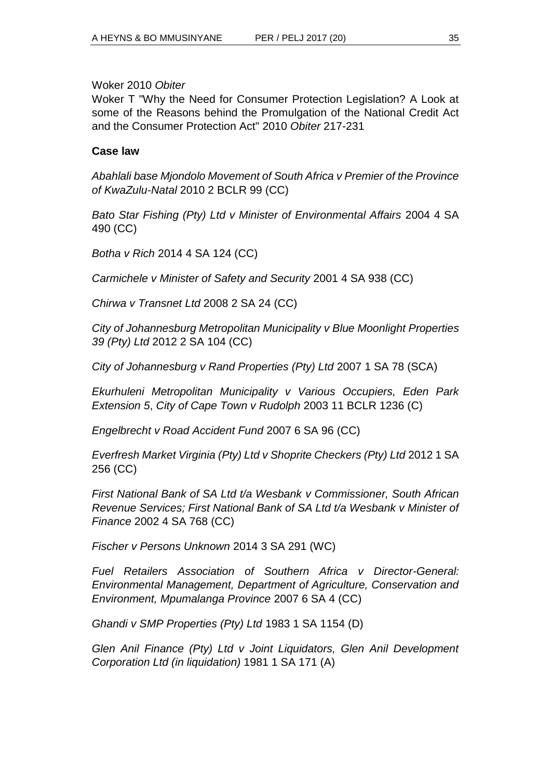Woker 2010 *Obiter*

Woker T "Why the Need for Consumer Protection Legislation? A Look at some of the Reasons behind the Promulgation of the National Credit Act and the Consumer Protection Act" 2010 *Obiter* 217-231

### **Case law**

*Abahlali base Mjondolo Movement of South Africa v Premier of the Province of KwaZulu-Natal* 2010 2 BCLR 99 (CC)

*Bato Star Fishing (Pty) Ltd v Minister of Environmental Affairs* 2004 4 SA 490 (CC)

*Botha v Rich* 2014 4 SA 124 (CC)

*Carmichele v Minister of Safety and Security* 2001 4 SA 938 (CC)

*Chirwa v Transnet Ltd* 2008 2 SA 24 (CC)

*City of Johannesburg Metropolitan Municipality v Blue Moonlight Properties 39 (Pty) Ltd* 2012 2 SA 104 (CC)

*City of Johannesburg v Rand Properties (Pty) Ltd* 2007 1 SA 78 (SCA)

*Ekurhuleni Metropolitan Municipality v Various Occupiers, Eden Park Extension 5*, *City of Cape Town v Rudolph* 2003 11 BCLR 1236 (C)

*Engelbrecht v Road Accident Fund* 2007 6 SA 96 (CC)

*Everfresh Market Virginia (Pty) Ltd v Shoprite Checkers (Pty) Ltd* 2012 1 SA 256 (CC)

*First National Bank of SA Ltd t/a Wesbank v Commissioner, South African Revenue Services; First National Bank of SA Ltd t/a Wesbank v Minister of Finance* 2002 4 SA 768 (CC)

*Fischer v Persons Unknown* 2014 3 SA 291 (WC)

*Fuel Retailers Association of Southern Africa v Director-General: Environmental Management, Department of Agriculture, Conservation and Environment, Mpumalanga Province* 2007 6 SA 4 (CC)

*Ghandi v SMP Properties (Pty) Ltd* 1983 1 SA 1154 (D)

*Glen Anil Finance (Pty) Ltd v Joint Liquidators, Glen Anil Development Corporation Ltd (in liquidation)* 1981 1 SA 171 (A)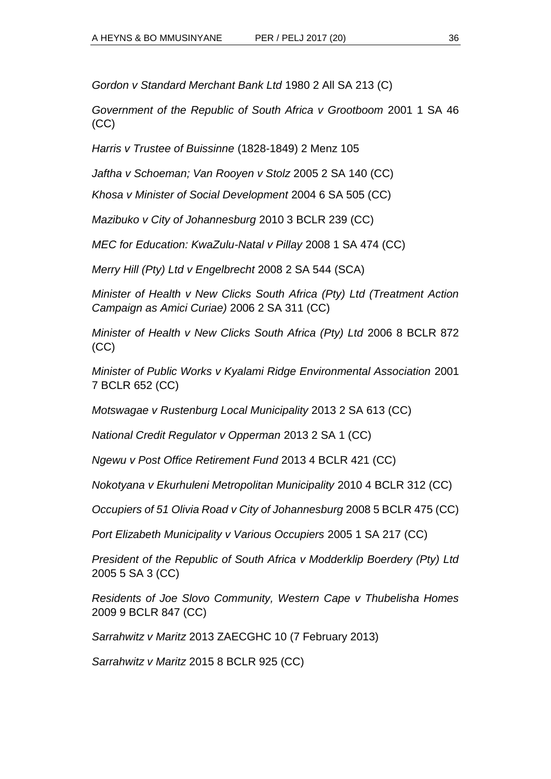*Gordon v Standard Merchant Bank Ltd* 1980 2 All SA 213 (C)

*Government of the Republic of South Africa v Grootboom* 2001 1 SA 46 (CC)

*Harris v Trustee of Buissinne* (1828-1849) 2 Menz 105

*Jaftha v Schoeman; Van Rooyen v Stolz* 2005 2 SA 140 (CC)

*Khosa v Minister of Social Development* 2004 6 SA 505 (CC)

*Mazibuko v City of Johannesburg* 2010 3 BCLR 239 (CC)

*MEC for Education: KwaZulu-Natal v Pillay* 2008 1 SA 474 (CC)

*Merry Hill (Pty) Ltd v Engelbrecht* 2008 2 SA 544 (SCA)

*Minister of Health v New Clicks South Africa (Pty) Ltd (Treatment Action Campaign as Amici Curiae)* 2006 2 SA 311 (CC)

*Minister of Health v New Clicks South Africa (Pty) Ltd* 2006 8 BCLR 872 (CC)

*Minister of Public Works v Kyalami Ridge Environmental Association* 2001 7 BCLR 652 (CC)

*Motswagae v Rustenburg Local Municipality* 2013 2 SA 613 (CC)

*National Credit Regulator v Opperman* 2013 2 SA 1 (CC)

*Ngewu v Post Office Retirement Fund* 2013 4 BCLR 421 (CC)

*Nokotyana v Ekurhuleni Metropolitan Municipality* 2010 4 BCLR 312 (CC)

*Occupiers of 51 Olivia Road v City of Johannesburg* 2008 5 BCLR 475 (CC)

*Port Elizabeth Municipality v Various Occupiers* 2005 1 SA 217 (CC)

*President of the Republic of South Africa v Modderklip Boerdery (Pty) Ltd*  2005 5 SA 3 (CC)

*Residents of Joe Slovo Community, Western Cape v Thubelisha Homes* 2009 9 BCLR 847 (CC)

*Sarrahwitz v Maritz* 2013 ZAECGHC 10 (7 February 2013)

*Sarrahwitz v Maritz* 2015 8 BCLR 925 (CC)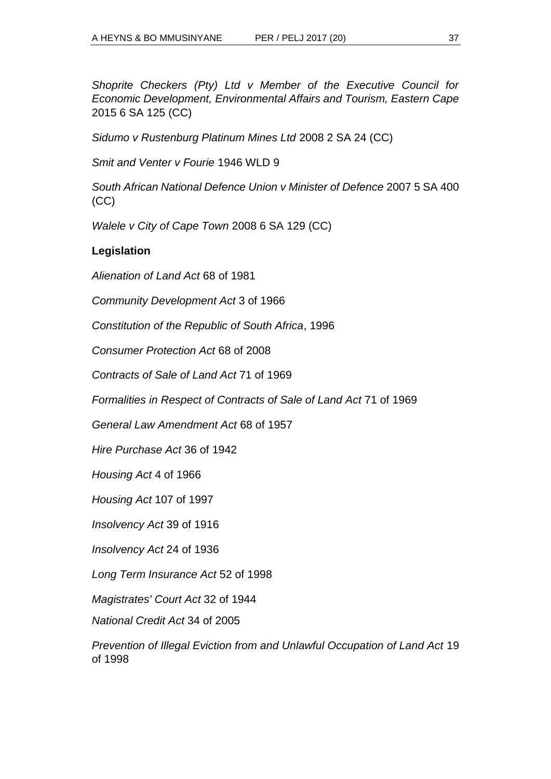*Shoprite Checkers (Pty) Ltd v Member of the Executive Council for Economic Development, Environmental Affairs and Tourism, Eastern Cape* 2015 6 SA 125 (CC)

*Sidumo v Rustenburg Platinum Mines Ltd* 2008 2 SA 24 (CC)

*Smit and Venter v Fourie* 1946 WLD 9

*South African National Defence Union v Minister of Defence* 2007 5 SA 400 (CC)

*Walele v City of Cape Town* 2008 6 SA 129 (CC)

### **Legislation**

*Alienation of Land Act* 68 of 1981

*Community Development Act* 3 of 1966

*Constitution of the Republic of South Africa*, 1996

*Consumer Protection Act* 68 of 2008

*Contracts of Sale of Land Act* 71 of 1969

*Formalities in Respect of Contracts of Sale of Land Act* 71 of 1969

*General Law Amendment Act* 68 of 1957

*Hire Purchase Act* 36 of 1942

*Housing Act* 4 of 1966

*Housing Act* 107 of 1997

*Insolvency Act* 39 of 1916

*Insolvency Act* 24 of 1936

*Long Term Insurance Act* 52 of 1998

*Magistrates' Court Act* 32 of 1944

*National Credit Act* 34 of 2005

*Prevention of Illegal Eviction from and Unlawful Occupation of Land Act* 19 of 1998